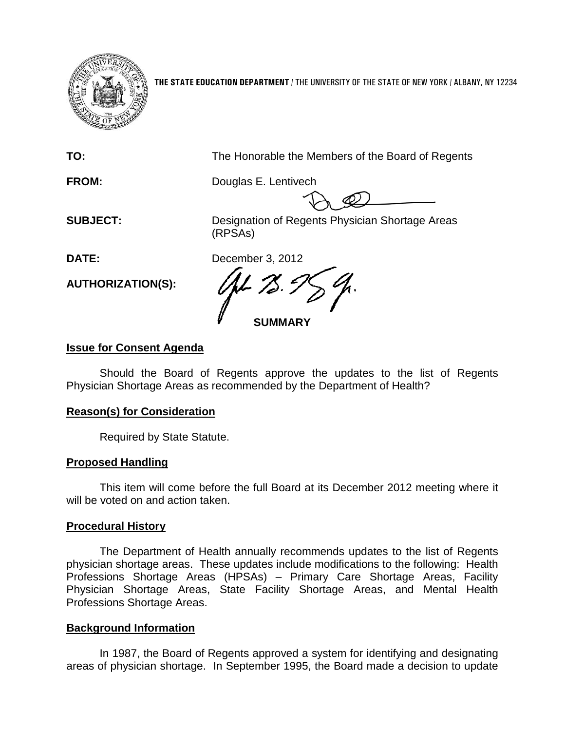

**THE STATE EDUCATION DEPARTMENT** / THE UNIVERSITY OF THE STATE OF NEW YORK / ALBANY, NY 12234

**TO:** The Honorable the Members of the Board of Regents

**FROM:** Douglas E. Lentivech

**SUBJECT:** Designation of Regents Physician Shortage Areas (RPSAs)

**DATE:** December 3, 2012

**SUMMARY**

### **Issue for Consent Agenda**

**AUTHORIZATION(S):**

Should the Board of Regents approve the updates to the list of Regents Physician Shortage Areas as recommended by the Department of Health?

#### **Reason(s) for Consideration**

Required by State Statute.

# **Proposed Handling**

This item will come before the full Board at its December 2012 meeting where it will be voted on and action taken.

#### **Procedural History**

The Department of Health annually recommends updates to the list of Regents physician shortage areas. These updates include modifications to the following: Health Professions Shortage Areas (HPSAs) – Primary Care Shortage Areas, Facility Physician Shortage Areas, State Facility Shortage Areas, and Mental Health Professions Shortage Areas.

# **Background Information**

In 1987, the Board of Regents approved a system for identifying and designating areas of physician shortage. In September 1995, the Board made a decision to update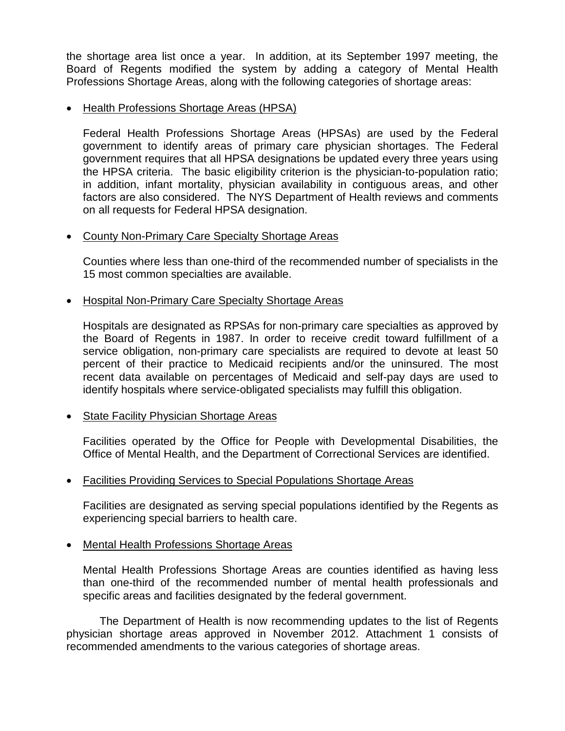the shortage area list once a year. In addition, at its September 1997 meeting, the Board of Regents modified the system by adding a category of Mental Health Professions Shortage Areas, along with the following categories of shortage areas:

#### • Health Professions Shortage Areas (HPSA)

Federal Health Professions Shortage Areas (HPSAs) are used by the Federal government to identify areas of primary care physician shortages. The Federal government requires that all HPSA designations be updated every three years using the HPSA criteria. The basic eligibility criterion is the physician-to-population ratio; in addition, infant mortality, physician availability in contiguous areas, and other factors are also considered. The NYS Department of Health reviews and comments on all requests for Federal HPSA designation.

#### • County Non-Primary Care Specialty Shortage Areas

Counties where less than one-third of the recommended number of specialists in the 15 most common specialties are available.

#### • Hospital Non-Primary Care Specialty Shortage Areas

Hospitals are designated as RPSAs for non-primary care specialties as approved by the Board of Regents in 1987. In order to receive credit toward fulfillment of a service obligation, non-primary care specialists are required to devote at least 50 percent of their practice to Medicaid recipients and/or the uninsured. The most recent data available on percentages of Medicaid and self-pay days are used to identify hospitals where service-obligated specialists may fulfill this obligation.

#### • State Facility Physician Shortage Areas

Facilities operated by the Office for People with Developmental Disabilities, the Office of Mental Health, and the Department of Correctional Services are identified.

#### • Facilities Providing Services to Special Populations Shortage Areas

Facilities are designated as serving special populations identified by the Regents as experiencing special barriers to health care.

#### • Mental Health Professions Shortage Areas

Mental Health Professions Shortage Areas are counties identified as having less than one-third of the recommended number of mental health professionals and specific areas and facilities designated by the federal government.

The Department of Health is now recommending updates to the list of Regents physician shortage areas approved in November 2012. Attachment 1 consists of recommended amendments to the various categories of shortage areas.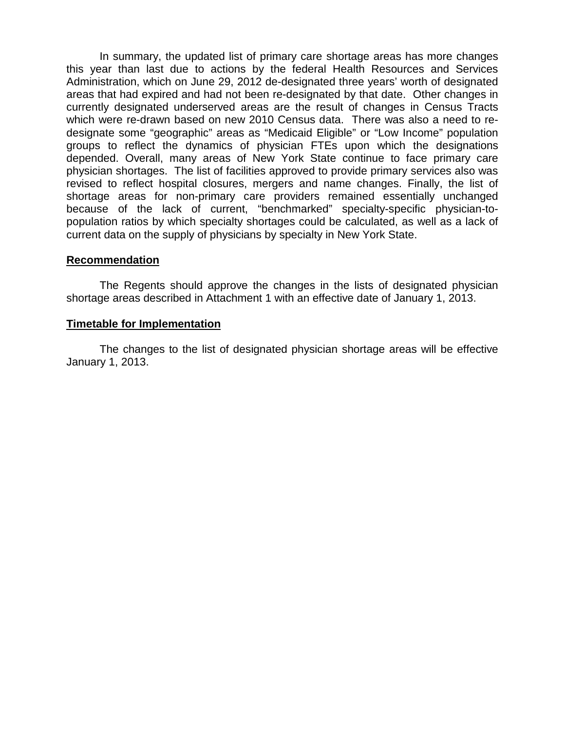In summary, the updated list of primary care shortage areas has more changes this year than last due to actions by the federal Health Resources and Services Administration, which on June 29, 2012 de-designated three years' worth of designated areas that had expired and had not been re-designated by that date. Other changes in currently designated underserved areas are the result of changes in Census Tracts which were re-drawn based on new 2010 Census data. There was also a need to redesignate some "geographic" areas as "Medicaid Eligible" or "Low Income" population groups to reflect the dynamics of physician FTEs upon which the designations depended. Overall, many areas of New York State continue to face primary care physician shortages. The list of facilities approved to provide primary services also was revised to reflect hospital closures, mergers and name changes. Finally, the list of shortage areas for non-primary care providers remained essentially unchanged because of the lack of current, "benchmarked" specialty-specific physician-topopulation ratios by which specialty shortages could be calculated, as well as a lack of current data on the supply of physicians by specialty in New York State.

#### **Recommendation**

The Regents should approve the changes in the lists of designated physician shortage areas described in Attachment 1 with an effective date of January 1, 2013.

#### **Timetable for Implementation**

The changes to the list of designated physician shortage areas will be effective January 1, 2013.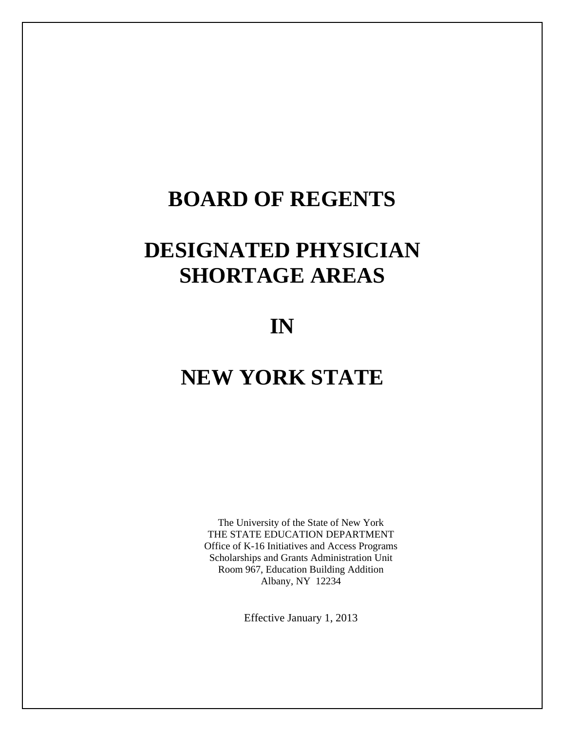# **BOARD OF REGENTS**

# **DESIGNATED PHYSICIAN SHORTAGE AREAS**

# **IN**

# **NEW YORK STATE**

The University of the State of New York THE STATE EDUCATION DEPARTMENT Office of K-16 Initiatives and Access Programs Scholarships and Grants Administration Unit Room 967, Education Building Addition Albany, NY 12234

Effective January 1, 2013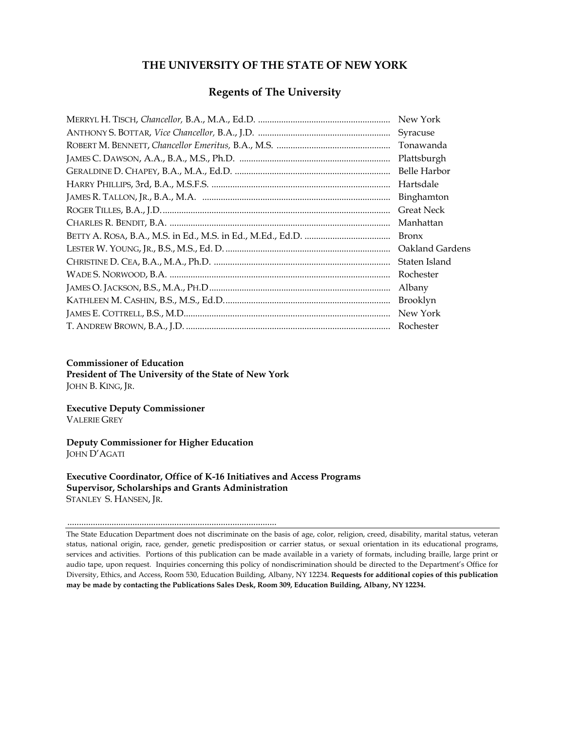### **THE UNIVERSITY OF THE STATE OF NEW YORK**

#### **Regents of The University**

| New York            |
|---------------------|
| Syracuse            |
| Tonawanda           |
| Plattsburgh         |
| <b>Belle Harbor</b> |
| Hartsdale           |
| Binghamton          |
| <b>Great Neck</b>   |
| Manhattan           |
| <b>Bronx</b>        |
| Oakland Gardens     |
| Staten Island       |
| Rochester           |
| Albany              |
| <b>Brooklyn</b>     |
| New York            |
| Rochester           |

#### **Commissioner of Education**

**President of The University of the State of New York** JOHN B. KING, JR.

**Executive Deputy Commissioner**  VALERIE GREY

**Deputy Commissioner for Higher Education**  JOHN D'AGATI

..........................................................................................

**Executive Coordinator, Office of K-16 Initiatives and Access Programs Supervisor, Scholarships and Grants Administration**  STANLEY S. HANSEN, JR.

The State Education Department does not discriminate on the basis of age, color, religion, creed, disability, marital status, veteran status, national origin, race, gender, genetic predisposition or carrier status, or sexual orientation in its educational programs, services and activities. Portions of this publication can be made available in a variety of formats, including braille, large print or audio tape, upon request. Inquiries concerning this policy of nondiscrimination should be directed to the Department's Office for Diversity, Ethics, and Access, Room 530, Education Building, Albany, NY 12234. **Requests for additional copies of this publication may be made by contacting the Publications Sales Desk, Room 309, Education Building, Albany, NY 12234.**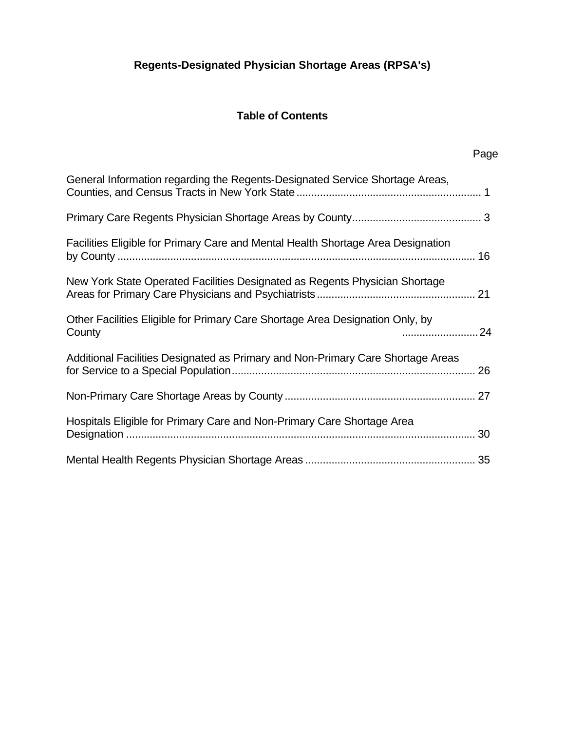# **Regents-Designated Physician Shortage Areas (RPSA's)**

# **Table of Contents**

Page

| General Information regarding the Regents-Designated Service Shortage Areas,                  |
|-----------------------------------------------------------------------------------------------|
|                                                                                               |
| Facilities Eligible for Primary Care and Mental Health Shortage Area Designation              |
| New York State Operated Facilities Designated as Regents Physician Shortage                   |
| Other Facilities Eligible for Primary Care Shortage Area Designation Only, by<br>24<br>County |
| Additional Facilities Designated as Primary and Non-Primary Care Shortage Areas               |
|                                                                                               |
| Hospitals Eligible for Primary Care and Non-Primary Care Shortage Area                        |
|                                                                                               |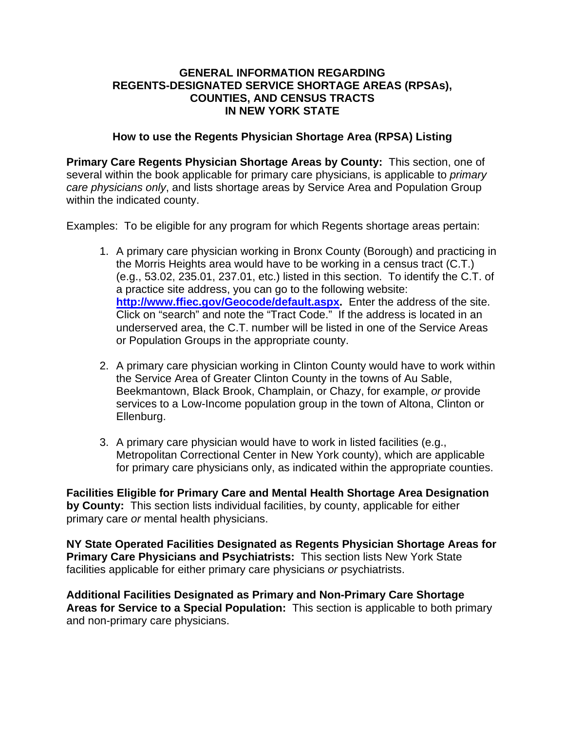#### **GENERAL INFORMATION REGARDING REGENTS-DESIGNATED SERVICE SHORTAGE AREAS (RPSAs), COUNTIES, AND CENSUS TRACTS IN NEW YORK STATE**

#### **How to use the Regents Physician Shortage Area (RPSA) Listing**

**Primary Care Regents Physician Shortage Areas by County:** This section, one of several within the book applicable for primary care physicians, is applicable to *primary care physicians only*, and lists shortage areas by Service Area and Population Group within the indicated county.

Examples: To be eligible for any program for which Regents shortage areas pertain:

- 1. A primary care physician working in Bronx County (Borough) and practicing in the Morris Heights area would have to be working in a census tract (C.T.) (e.g., 53.02, 235.01, 237.01, etc.) listed in this section. To identify the C.T. of a practice site address, you can go to the following website: **http://www.ffiec.gov/Geocode/default.aspx.** Enter the address of the site. Click on "search" and note the "Tract Code." If the address is located in an underserved area, the C.T. number will be listed in one of the Service Areas or Population Groups in the appropriate county.
- 2. A primary care physician working in Clinton County would have to work within the Service Area of Greater Clinton County in the towns of Au Sable, Beekmantown, Black Brook, Champlain, or Chazy, for example, *or* provide services to a Low-Income population group in the town of Altona, Clinton or Ellenburg.
- 3. A primary care physician would have to work in listed facilities (e.g., Metropolitan Correctional Center in New York county), which are applicable for primary care physicians only, as indicated within the appropriate counties.

**Facilities Eligible for Primary Care and Mental Health Shortage Area Designation by County:** This section lists individual facilities, by county, applicable for either primary care *or* mental health physicians.

**NY State Operated Facilities Designated as Regents Physician Shortage Areas for Primary Care Physicians and Psychiatrists:** This section lists New York State facilities applicable for either primary care physicians *or* psychiatrists.

**Additional Facilities Designated as Primary and Non-Primary Care Shortage Areas for Service to a Special Population:** This section is applicable to both primary and non-primary care physicians.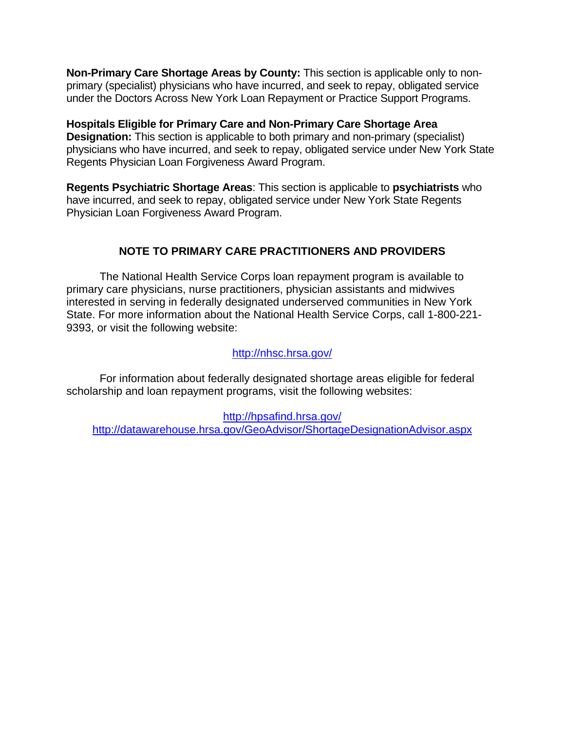**Non-Primary Care Shortage Areas by County:** This section is applicable only to nonprimary (specialist) physicians who have incurred, and seek to repay, obligated service under the Doctors Across New York Loan Repayment or Practice Support Programs.

**Hospitals Eligible for Primary Care and Non-Primary Care Shortage Area Designation:** This section is applicable to both primary and non-primary (specialist) physicians who have incurred, and seek to repay, obligated service under New York State Regents Physician Loan Forgiveness Award Program.

**Regents Psychiatric Shortage Areas**: This section is applicable to **psychiatrists** who have incurred, and seek to repay, obligated service under New York State Regents Physician Loan Forgiveness Award Program.

# **NOTE TO PRIMARY CARE PRACTITIONERS AND PROVIDERS**

 The National Health Service Corps loan repayment program is available to primary care physicians, nurse practitioners, physician assistants and midwives interested in serving in federally designated underserved communities in New York State. For more information about the National Health Service Corps, call 1-800-221- 9393, or visit the following website:

### http://nhsc.hrsa.gov/

 For information about federally designated shortage areas eligible for federal scholarship and loan repayment programs, visit the following websites:

http://hpsafind.hrsa.gov/ http://datawarehouse.hrsa.gov/GeoAdvisor/ShortageDesignationAdvisor.aspx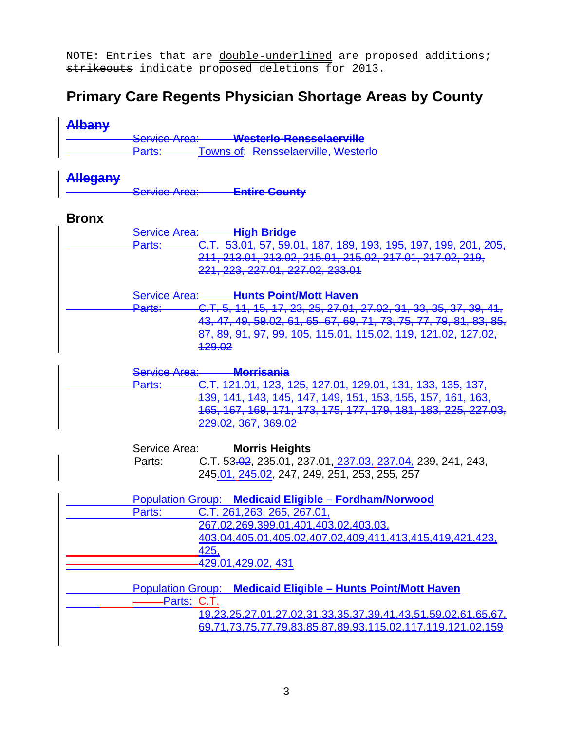NOTE: Entries that are double-underlined are proposed additions; strikeouts indicate proposed deletions for 2013.

# **Primary Care Regents Physician Shortage Areas by County**

| Albany          |                                                                             |
|-----------------|-----------------------------------------------------------------------------|
|                 | Service Area: Westerlo-Rensselaerville                                      |
|                 | <b>Towns of: Rensselaerville, Westerlo</b><br><u>Parts: ____</u>            |
| <b>Allegany</b> |                                                                             |
|                 | Service Area: Entire County                                                 |
| <b>Bronx</b>    |                                                                             |
|                 | Service Area: High Bridge                                                   |
|                 | Parts: C.T. 53.01, 57, 59.01, 187, 189, 193, 195, 197, 199, 201, 205,       |
|                 | 211, 213.01, 213.02, 215.01, 215.02, 217.01, 217.02, 219,                   |
|                 | 221, 223, 227.01, 227.02, 233.01                                            |
|                 | Service Area: Hunts Point/Mott Haven                                        |
|                 | C.T. 5, 11, 15, 17, 23, 25, 27.01, 27.02, 31, 33, 35, 37, 39, 41,<br>Parts: |
|                 | 43, 47, 49, 59.02, 61, 65, 67, 69, 71, 73, 75, 77, 79, 81, 83, 85,          |
|                 | 87, 89, 91, 97, 99, 105, 115.01, 115.02, 119, 121.02, 127.02,               |
|                 | <del>129.02</del>                                                           |
|                 | Service Area: Morrisania                                                    |
|                 | Parts: C.T. 121.01, 123, 125, 127.01, 129.01, 131, 133, 135, 137,           |
|                 | 139, 141, 143, 145, 147, 149, 151, 153, 155, 157, 161, 163,                 |
|                 | 165, 167, 169, 171, 173, 175, 177, 179, 181, 183, 225, 227.03,              |
|                 | 229.02, 367, 369.02                                                         |
|                 | Service Area:<br><b>Morris Heights</b>                                      |
|                 | C.T. 53.02, 235.01, 237.01, 237.03, 237.04, 239, 241, 243,<br>Parts:        |
|                 | 245.01, 245.02, 247, 249, 251, 253, 255, 257                                |
|                 | Population Group: Medicaid Eligible - Fordham/Norwood                       |
|                 | <u>C.T. 261,263, 265, 267.01,</u><br>Parts:                                 |
|                 | 267.02.269.399.01.401.403.02,403.03                                         |
|                 | 403.04,405.01,405.02,407.02,409,411,413,415,419,421,423,                    |
|                 | 425,                                                                        |
|                 | <u>429.01,429.02, 431</u>                                                   |
|                 | <b>Population Group: Medicaid Eligible - Hunts Point/Mott Haven</b>         |
|                 | <u>-Parts: C.T.</u>                                                         |
|                 | <u>19,23,25,27.01,27.02,31,33,35,37,39,41,43,51,59.02,61,65,67,</u>         |
|                 | 69,71,73,75,77,79,83,85,87,89,93,115.02,117,119,121.02,159                  |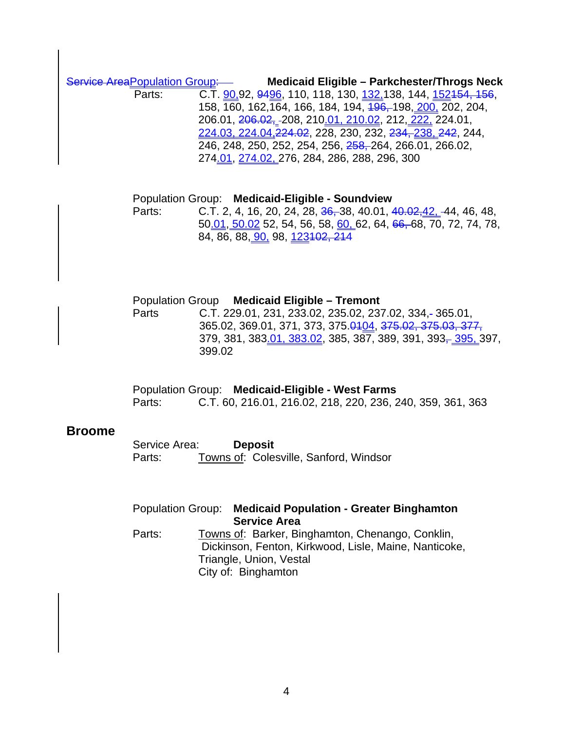Service AreaPopulation Group: **Medicaid Eligible – Parkchester/Throgs Neck** 

Parts: C.T. 90,92, 9496, 110, 118, 130, 132, 138, 144, 152, 154, 156, 158, 160, 162,164, 166, 184, 194, 196, 198, 200, 202, 204, 206.01, 206.02, 208, 210.01, 210.02, 212, 222, 224.01, 224.03, 224.04,224.02, 228, 230, 232, 234, 238, 242, 244, 246, 248, 250, 252, 254, 256, 258, 264, 266.01, 266.02, 274.01, 274.02, 276, 284, 286, 288, 296, 300

 Population Group: **Medicaid-Eligible - Soundview** Parts: C.T. 2, 4, 16, 20, 24, 28, 36, 38, 40.01, 40.02, 42, 44, 46, 48, 50.01, 50.02 52, 54, 56, 58, 60, 62, 64, 66, 68, 70, 72, 74, 78, 84, 86, 88, 90, 98, 123102, 214

 Population Group **Medicaid Eligible – Tremont** Parts C.T. 229.01, 231, 233.02, 235.02, 237.02, 334, 365.01, 365.02, 369.01, 371, 373, 375.0404, 375.02, 375.03, 377, 379, 381, 383<u>.01, 383.02</u>, 385, 387, 389, 391, 393<del>, 395</del>, 397, 399.02

 Population Group: **Medicaid-Eligible - West Farms** Parts: C.T. 60, 216.01, 216.02, 218, 220, 236, 240, 359, 361, 363

#### **Broome**

| Service Area: | <b>Deposit</b>                         |  |
|---------------|----------------------------------------|--|
| Parts:        | Towns of: Colesville, Sanford, Windsor |  |

|        | Population Group: Medicaid Population - Greater Binghamton<br><b>Service Area</b>                                                                           |
|--------|-------------------------------------------------------------------------------------------------------------------------------------------------------------|
| Parts: | Towns of: Barker, Binghamton, Chenango, Conklin,<br>Dickinson, Fenton, Kirkwood, Lisle, Maine, Nanticoke,<br>Triangle, Union, Vestal<br>City of: Binghamton |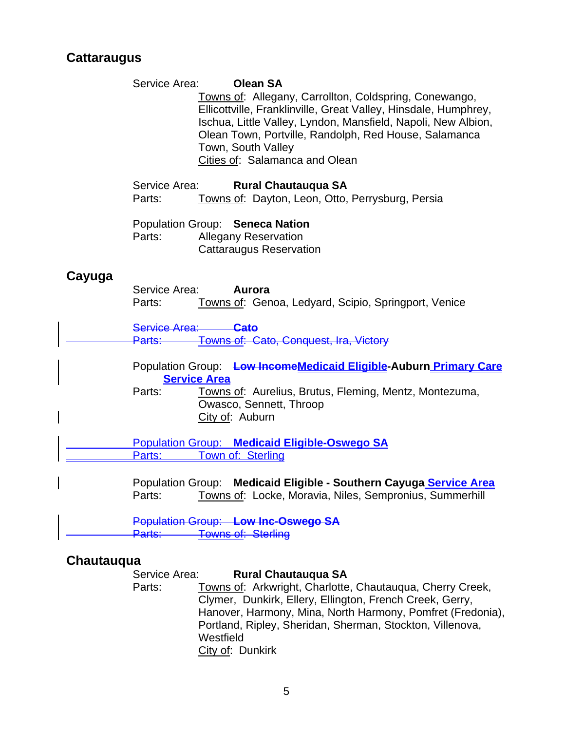# **Cattaraugus**

|        | Service Area:<br><b>Olean SA</b><br>Towns of: Allegany, Carrollton, Coldspring, Conewango,<br>Ellicottville, Franklinville, Great Valley, Hinsdale, Humphrey,<br>Ischua, Little Valley, Lyndon, Mansfield, Napoli, New Albion,<br>Olean Town, Portville, Randolph, Red House, Salamanca<br>Town, South Valley<br>Cities of: Salamanca and Olean |
|--------|-------------------------------------------------------------------------------------------------------------------------------------------------------------------------------------------------------------------------------------------------------------------------------------------------------------------------------------------------|
|        | Service Area:<br><b>Rural Chautauqua SA</b><br>Towns of: Dayton, Leon, Otto, Perrysburg, Persia<br>Parts:                                                                                                                                                                                                                                       |
|        | Population Group: Seneca Nation<br>Parts:<br><b>Allegany Reservation</b><br><b>Cattaraugus Reservation</b>                                                                                                                                                                                                                                      |
| Cayuga | Service Area:<br>Aurora<br>Towns of: Genoa, Ledyard, Scipio, Springport, Venice<br>Parts:                                                                                                                                                                                                                                                       |
|        | Service Area: Cato<br>Towns of: Cato, Conquest, Ira, Victory<br>Parts:—                                                                                                                                                                                                                                                                         |
|        | Population Group: Low IncomeMedicaid Eligible-Auburn Primary Care<br><b>Service Area</b><br>Towns of: Aurelius, Brutus, Fleming, Mentz, Montezuma,<br>Parts:<br>Owasco, Sennett, Throop<br>City of: Auburn                                                                                                                                      |
|        | <b>Population Group: Medicaid Eligible-Oswego SA</b>                                                                                                                                                                                                                                                                                            |
|        | Town of: Sterling<br>Parts:                                                                                                                                                                                                                                                                                                                     |
|        | Population Group: Medicaid Eligible - Southern Cayuga Service Area<br>Parts:<br>Towns of: Locke, Moravia, Niles, Sempronius, Summerhill                                                                                                                                                                                                         |
|        | Population Group: Low Inc-Oswego SA<br><b>Towns of: Sterling</b><br>Parts:                                                                                                                                                                                                                                                                      |

# **Chautauqua**

Service Area: **Rural Chautauqua SA**<br>Parts: **Towns of: Arkwright, Charlotte** Towns of: Arkwright, Charlotte, Chautauqua, Cherry Creek, Clymer, Dunkirk, Ellery, Ellington, French Creek, Gerry, Hanover, Harmony, Mina, North Harmony, Pomfret (Fredonia), Portland, Ripley, Sheridan, Sherman, Stockton, Villenova, Westfield City of: Dunkirk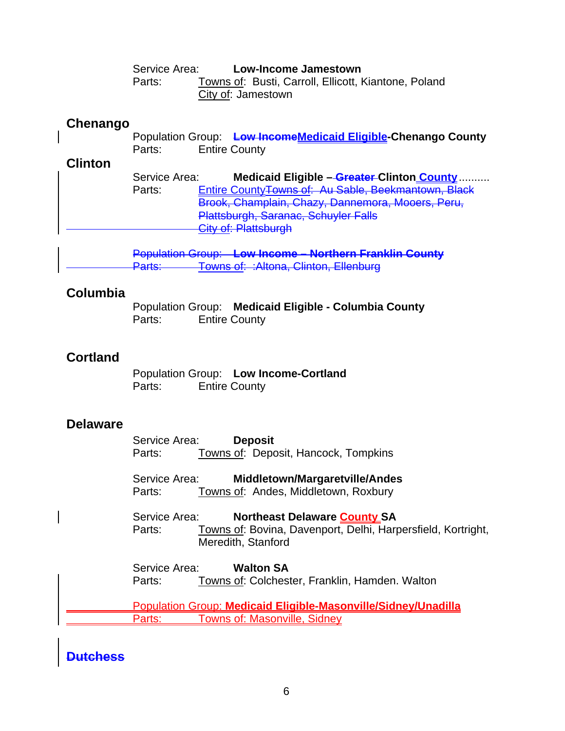Service Area: **Low-Income Jamestown** Parts: Towns of: Busti, Carroll, Ellicott, Kiantone, Poland City of: Jamestown

# **Chenango**

|        | Population Group: Low IncomeMedicaid Eligible Chenango County |  |
|--------|---------------------------------------------------------------|--|
| Parts: | <b>Entire County</b>                                          |  |

# **Clinton**

| Service Area: | Medicaid Eligible - Greater Clinton County               |
|---------------|----------------------------------------------------------|
| Parts:        | Entire County Towns of: Au Sable, Beekmantown, Black     |
|               | Brook, Champlain, Chazy, Dannemora, Mooers, Peru,        |
|               | Plattsburgh, Saranac, Schuyler Falls                     |
|               | $C$ ity of: Platteburgh<br><u>יטו אוסוואו דו זש אווט</u> |
|               |                                                          |

 Population Group: **Low Income – Northern Franklin County** Towns of: : Altona, Clinton, Ellenburg

# **Columbia**

Population Group: **Medicaid Eligible - Columbia County**  Parts: Entire County

# **Cortland**

 Population Group: **Low Income-Cortland**  Parts: Entire County

# **Delaware**

 Service Area: **Deposit**  Parts: Towns of: Deposit, Hancock, Tompkins

Service Area: **Middletown/Margaretville/Andes** Parts: Towns of: Andes, Middletown, Roxbury

 Service Area: **Northeast Delaware County SA**  Parts: Towns of: Bovina, Davenport, Delhi, Harpersfield, Kortright, Meredith, Stanford

 Service Area: **Walton SA**  Parts: Towns of: Colchester, Franklin, Hamden. Walton

 Population Group: **Medicaid Eligible-Masonville/Sidney/Unadilla**  Parts: Towns of: Masonville, Sidney

# **Dutchess**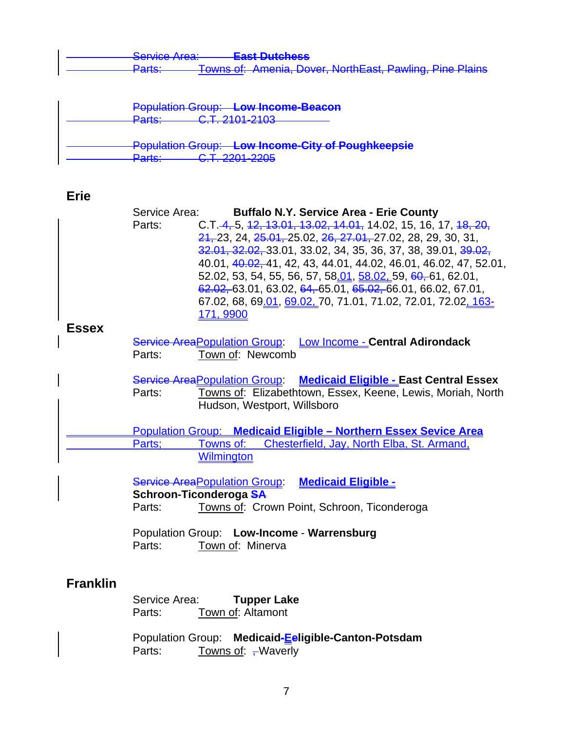| Convice Aron<br><del>oorviou niba.</del> | Eact Dutchoec<br><del>Last Dutchcss</del>                                                                                  |  |
|------------------------------------------|----------------------------------------------------------------------------------------------------------------------------|--|
| $D$ orto:<br>r <del>ano.</del>           | Towns of: Amenia Dover NorthEast Pawling Pine Plains<br><del>TUWIO UI. AINONA, DUVOI, INJINLASI, FAWIIN, FINO FIAINS</del> |  |

| <b>Population Group: Low Income-Beacon</b>               |
|----------------------------------------------------------|
| $C$ T $2404.2402$<br>Dorter<br><del>। या ত .</del>       |
| <b>Population Group: Low Income-City of Poughkeepsie</b> |
| $\cap$ T 2201 2205<br>$D$ orto:<br><u>ano.</u>           |

# **Erie**

|                 | Service Area: | <b>Buffalo N.Y. Service Area - Erie County</b>                          |
|-----------------|---------------|-------------------------------------------------------------------------|
|                 | Parts:        | C.T. 4, 5, 12, 13.01, 13.02, 14.01, 14.02, 15, 16, 17, 18, 20,          |
|                 |               | $21, 23, 24, 25.01, 25.02, 26, 27.01, 27.02, 28, 29, 30, 31,$           |
|                 |               | 32.01, 32.02, 33.01, 33.02, 34, 35, 36, 37, 38, 39.01, 39.02,           |
|                 |               | 40.01, 40.02, 41, 42, 43, 44.01, 44.02, 46.01, 46.02, 47, 52.01,        |
|                 |               | 52.02, 53, 54, 55, 56, 57, 58 <u>.01, 58.02, 59, 60,</u> 61, 62.01,     |
|                 |               | $62.02, 63.01, 63.02, 64, 65.01, 65.02, 66.01, 66.02, 67.01,$           |
|                 |               | 67.02, 68, 69.01, 69.02, 70, 71.01, 71.02, 72.01, 72.02, 163-           |
|                 |               | <u>171, 9900</u>                                                        |
| <b>Essex</b>    |               |                                                                         |
|                 |               | Service Area Population Group: Low Income - Central Adirondack          |
|                 | Parts:        | Town of: Newcomb                                                        |
|                 |               |                                                                         |
|                 |               | Service Area Population Group: Medicaid Eligible - East Central Essex   |
|                 | Parts:        | Towns of: Elizabethtown, Essex, Keene, Lewis, Moriah, North             |
|                 |               | Hudson, Westport, Willsboro                                             |
|                 |               |                                                                         |
|                 |               | <b>Population Group: Medicaid Eligible - Northern Essex Sevice Area</b> |
|                 | Parts:        | Towns of:<br>Chesterfield, Jay, North Elba, St. Armand,                 |
|                 |               | <b>Wilmington</b>                                                       |
|                 |               |                                                                         |
|                 |               | <b>Service Area Population Group Medicaid Eligible -</b>                |
|                 |               | Schroon-Ticonderoga SA                                                  |
|                 | Parts:        | Towns of: Crown Point, Schroon, Ticonderoga                             |
|                 |               |                                                                         |
|                 |               | Population Group: Low-Income - Warrensburg                              |
|                 | Parts:        | Town of: Minerva                                                        |
|                 |               |                                                                         |
| <b>Franklin</b> |               |                                                                         |
|                 | Service Area: | <b>Tupper Lake</b>                                                      |
|                 | Parts:        | Town of: Altamont                                                       |
|                 |               |                                                                         |

 Population Group: **Medicaid-Eeligible-Canton-Potsdam** Parts: <u>Towns of</u>: <del>, </del>Waverly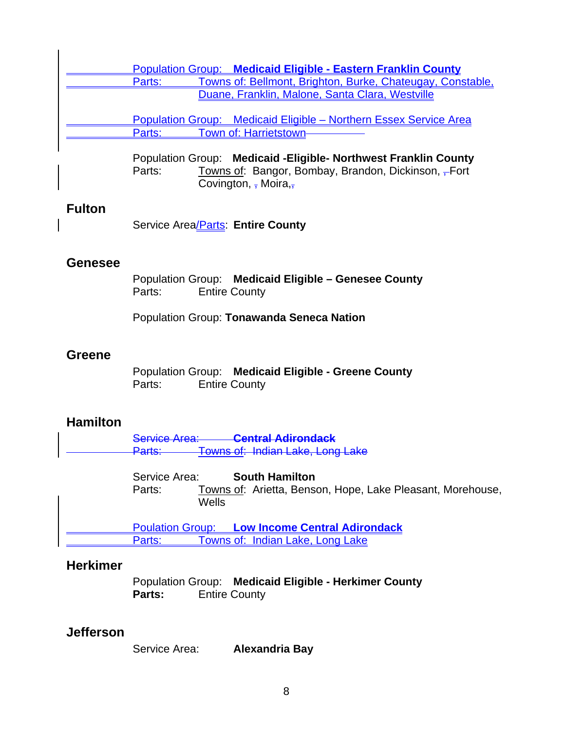|                 | <b>Population Group: Medicaid Eligible - Eastern Franklin County</b>                                                                                                                |
|-----------------|-------------------------------------------------------------------------------------------------------------------------------------------------------------------------------------|
|                 | Towns of: Bellmont, Brighton, Burke, Chateugay, Constable,<br>Parts:<br>Duane, Franklin, Malone, Santa Clara, Westville                                                             |
|                 | Population Group: Medicaid Eligible - Northern Essex Service Area<br>Town of: Harrietstown-<br>Parts:                                                                               |
|                 | Population Group: Medicaid - Eligible - Northwest Franklin County<br>Parts:<br>Towns of: Bangor, Bombay, Brandon, Dickinson, -Fort<br>Covington, $\frac{1}{2}$ Moira, $\frac{1}{2}$ |
| <b>Fulton</b>   | Service Area/Parts: Entire County                                                                                                                                                   |
| <b>Genesee</b>  | Population Group: Medicaid Eligible - Genesee County<br>Parts:<br><b>Entire County</b>                                                                                              |
|                 | Population Group: Tonawanda Seneca Nation                                                                                                                                           |
| <b>Greene</b>   | Population Group: Medicaid Eligible - Greene County<br>Parts:<br><b>Entire County</b>                                                                                               |
| <b>Hamilton</b> |                                                                                                                                                                                     |
|                 | Service Area: Central Adirondack<br>Towns of: Indian Lake, Long Lake<br><del>Parts: ____</del>                                                                                      |
|                 | Service Area:<br><b>South Hamilton</b><br>Towns of: Arietta, Benson, Hope, Lake Pleasant, Morehouse,<br>Parts:<br>Wells                                                             |
|                 | <b>Low Income Central Adirondack</b><br><b>Poulation Group:</b><br>Towns of: Indian Lake, Long Lake<br>Parts:                                                                       |
| <b>Herkimer</b> |                                                                                                                                                                                     |

 Population Group: **Medicaid Eligible - Herkimer County Parts:** Entire County

# **Jefferson**

| Service Area: | <b>Alexandria Bay</b> |
|---------------|-----------------------|
|---------------|-----------------------|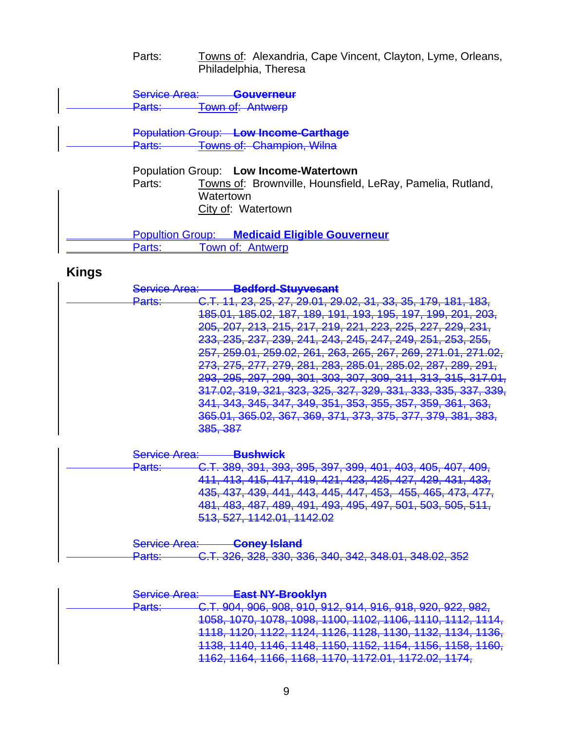#### Parts: Towns of: Alexandria, Cape Vincent, Clayton, Lyme, Orleans, Philadelphia, Theresa

Service Area: **Gouverneur**<br>Parts: Town of: Antwerp **Town of: Antwerp** 

 Population Group: **Low Income-Carthage** Parts: Towns of: Champion, Wilna

> Population Group: **Low Income-Watertown** Towns of: Brownville, Hounsfield, LeRay, Pamelia, Rutland, **Watertown** City of: Watertown

Popultion Group: **Medicaid Eligible Gouverneur** Parts: Town of: Antwerp

# **Kings**

| <u>Sarvica Aras:</u><br><u>JUNIOU NUU.</u> | Radford-Stuwaeant<br>ромога онд тоомн                                                                                                       |
|--------------------------------------------|---------------------------------------------------------------------------------------------------------------------------------------------|
| Darte:<br><del>. urto.</del>               | 11 23 25 27 20 01 20 02 31 33 35 170 181 183<br><del>11, 20, 20, 21, 20.01, 20.02, 01, 00, 00, 110, 101, 100,</del>                         |
|                                            | 185 01 185 02 187 180 101 103 105 107 100 201 203<br><del>100.01, 100.02, 107, 109, 191, 190, 190, 197, 199, 201, 200,</del>                |
|                                            | 205 207 213 215 217 210 221 223 225 227 220 231                                                                                             |
|                                            | 233 235 237 230 241 243 245 247 240 251<br>$953.955$<br><del>200, 200, 201, 200, 241, 240, 240, 241, 243, 201, 200, 200,</del>              |
|                                            | 257 259 01 259 02 261 263 265 267 269 271 01<br><u>ົ</u> ດ71 ∩ດ<br><del>201, 200.01, 200.02, 201, 200, 200, 201, 200, 211.01, 211.02,</del> |
|                                            | <u>273 275 277 270 281 283 285 01 285 02 287 280 201</u><br><del>210, 210, 211, 218, 201, 200, 200.01, 200.02, 201, 209, 291,</del>         |
|                                            | 293, 295, 297, 299, 301, 303, 307, 309, 311, 313, 315, 317.01,                                                                              |
|                                            | 317.02, 319, 321, 323, 325, 327, 329, 331, 333, 335, 337, 339,                                                                              |
|                                            | 341, 343, 345, 347, 349, 351, 353, 355, 357, 359, 361, 363,                                                                                 |
|                                            | 365 01 365 02 367 360 371 373 375 377 370 381 383                                                                                           |
|                                            | 385 387                                                                                                                                     |
|                                            | <del>ooo, oor</del>                                                                                                                         |

| Sanjica Aras:<br><del>ocrvitot Alta.</del> | <b>Puchwick</b><br><del>Duan wien</del>                                                                                   |
|--------------------------------------------|---------------------------------------------------------------------------------------------------------------------------|
| $D$ orte:<br><del>. arto.</del>            | C.T. 389, 391, 393, 395, 397, 399, 401, 403, 405, 407, 409,                                                               |
|                                            | 411, 413, 415, 417, 419, 421, 423, 425, 427, 429, 431, 433,                                                               |
|                                            | 135 137 130 111 113 115 117 153 155 165 173 177<br><del>400, 407, 409, 441, 440, 440, 447, 400, 400, 400, 470, 477,</del> |
|                                            | 481, 483, 487, 489, 491, 493, 495, 497, 501, 503, 505, 511,                                                               |
|                                            | 513, 527, 1142.01, 1142.02                                                                                                |
|                                            |                                                                                                                           |
| Sanjica Arao:                              | <b>Coney Island</b>                                                                                                       |

| $D$ orte $\cdot$ | CTR CORR NOR CAR ONE ARE ORE RES ORE TO                       |  |  |  |
|------------------|---------------------------------------------------------------|--|--|--|
| <u>rano.</u>     | <u>U.T. UZU, UZU, UUU, UUU, UTU, UTZ, UTU.UT, UTU.UZ, UUZ</u> |  |  |  |

| Sanjian A<br><del>oorvioo muu.</del> | <b>East NY-Brooklyn</b>                                                                                                                         |
|--------------------------------------|-------------------------------------------------------------------------------------------------------------------------------------------------|
| $D$ orte $\cdot$<br><u>aro.</u>      |                                                                                                                                                 |
|                                      | 070 1079 1009 1100 1100 1106 1110 111<br><del>1000, 1010, 1010, 1030, 1100, 1102, 1100, 1110, 1112, 1114,</del>                                 |
|                                      | 1121 1420 1420 1421 1426 1427 1430 1431<br>1136<br><u>127, 1120, 1120, 1130, 1132, 1134, 1</u><br>$\overline{\textbf{T}}$<br>TTU, TIZU, TILL, T |
|                                      | $1112$ 1110 1150 1150 1151 1152 11<br><u>1100, 1170, 1170, 1170, 1100, 1102, 1107, 1100, 1100, 1100,</u>                                        |
|                                      | $\overline{1100, 1100, 1100}$<br>$\overline{L_1 \cup L_1}$<br>$TTVZ$ , $TTVT$ ,<br>1 1 1 2 1 V 1<br>.                                           |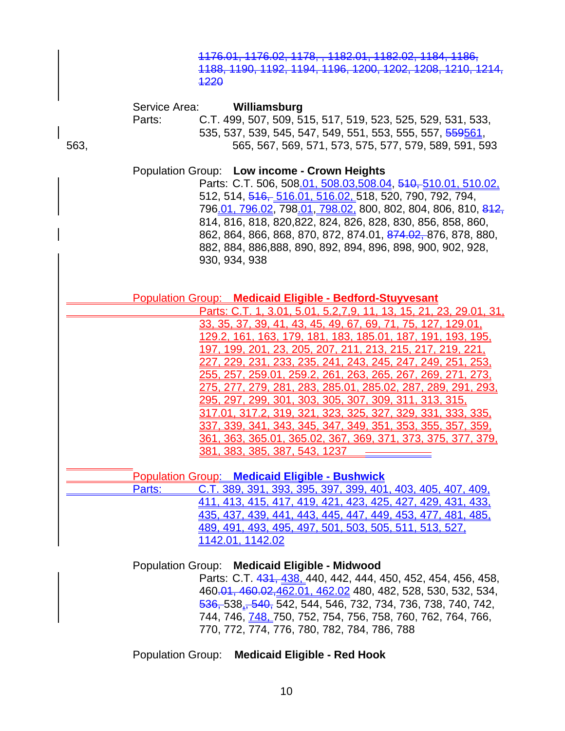|      |                         | 1176.01, 1176.02, 1178, , 1182.01, 1182.02, 1184, 1186,<br>1188, 1190, 1192, 1194, 1196, 1200, 1202, 1208, 1210, 1214,<br><b>1220</b>                                                                                                                                                                                                                                                                                                                                                                                                                                                                                                                                                                                                         |
|------|-------------------------|-----------------------------------------------------------------------------------------------------------------------------------------------------------------------------------------------------------------------------------------------------------------------------------------------------------------------------------------------------------------------------------------------------------------------------------------------------------------------------------------------------------------------------------------------------------------------------------------------------------------------------------------------------------------------------------------------------------------------------------------------|
| 563, | Service Area:<br>Parts: | Williamsburg<br>C.T. 499, 507, 509, 515, 517, 519, 523, 525, 529, 531, 533,<br>535, 537, 539, 545, 547, 549, 551, 553, 555, 557, <del>559561</del> ,<br>565, 567, 569, 571, 573, 575, 577, 579, 589, 591, 593                                                                                                                                                                                                                                                                                                                                                                                                                                                                                                                                 |
|      |                         | Population Group: Low income - Crown Heights<br>Parts: C.T. 506, 508.01, 508.03, 508.04, 510, 510.01, 510.02,<br>512, 514, 516, 516.01, 516.02, 518, 520, 790, 792, 794,<br>796.01, 796.02, 798.01, 798.02, 800, 802, 804, 806, 810, 812,<br>814, 816, 818, 820, 822, 824, 826, 828, 830, 856, 858, 860,<br>862, 864, 866, 868, 870, 872, 874.01, 874.02, 876, 878, 880,<br>882, 884, 886, 888, 890, 892, 894, 896, 898, 900, 902, 928,<br>930, 934, 938                                                                                                                                                                                                                                                                                      |
|      |                         | <b>Population Group: Medicaid Eligible - Bedford-Stuyvesant</b>                                                                                                                                                                                                                                                                                                                                                                                                                                                                                                                                                                                                                                                                               |
|      |                         | Parts: C.T. 1, 3.01, 5.01, 5.2.7.9, 11, 13, 15, 21, 23, 29.01, 31,                                                                                                                                                                                                                                                                                                                                                                                                                                                                                                                                                                                                                                                                            |
|      |                         | <u>33, 35, 37, 39, 41, 43, 45, 49, 67, 69, 71, 75, 127, 129.01,</u><br><u>129.2, 161, 163, 179, 181, 183, 185.01, 187, 191, 193, 195, </u><br>197, 199, 201, 23, 205, 207, 211, 213, 215, 217, 219, 221,<br><u>227, 229, 231, 233, 235, 241, 243, 245, 247, 249, 251, 253,</u><br><u>255, 257, 259.01, 259.2, 261, 263, 265, 267, 269, 271, 273, </u><br><u>275, 277, 279, 281, 283, 285.01, 285.02, 287, 289, 291, 293, </u><br><u>295, 297, 299, 301, 303, 305, 307, 309, 311, 313, 315, </u><br><u>317.01, 317.2, 319, 321, 323, 325, 327, 329, 331, 333. 335.</u><br><u>337, 339, 341, 343, 345, 347, 349, 351, 353, 355, 357, 359, </u><br>361, 363, 365.01, 365.02, 367, 369, 371, 373, 375, 377, 379,<br>381, 383, 385, 387, 543, 1237 |
|      |                         | Population Group: Medicaid Eligible - Bushwick                                                                                                                                                                                                                                                                                                                                                                                                                                                                                                                                                                                                                                                                                                |
|      | Parts:                  | C.T. 389, 391, 393, 395, 397, 399, 401, 403, 405, 407, 409,<br>411, 413, 415, 417, 419, 421, 423, 425, 427, 429, 431, 433,                                                                                                                                                                                                                                                                                                                                                                                                                                                                                                                                                                                                                    |
|      |                         | 435, 437, 439, 441, 443, 445, 447, 449, 453, 477, 481, 485,                                                                                                                                                                                                                                                                                                                                                                                                                                                                                                                                                                                                                                                                                   |
|      |                         | 489, 491, 493, 495, 497, 501, 503, 505, 511, 513, 527,                                                                                                                                                                                                                                                                                                                                                                                                                                                                                                                                                                                                                                                                                        |
|      |                         | 1142.01, 1142.02                                                                                                                                                                                                                                                                                                                                                                                                                                                                                                                                                                                                                                                                                                                              |
|      |                         | Population Group: Medicaid Eligible - Midwood<br>Parts: CT 431 438 440 442 444 450 452 454 456 458                                                                                                                                                                                                                                                                                                                                                                                                                                                                                                                                                                                                                                            |

Parts: U.T. 4<del>31, <u>438,</u> 4</del>40, 442, 444, 450, 452, 454, 456, 458, 460.01, 460.02,462.01, 462.02 480, 482, 528, 530, 532, 534, 536, 538,, 540, 542, 544, 546, 732, 734, 736, 738, 740, 742, 744, 746, 748, 750, 752, 754, 756, 758, 760, 762, 764, 766, 770, 772, 774, 776, 780, 782, 784, 786, 788

Population Group: **Medicaid Eligible - Red Hook**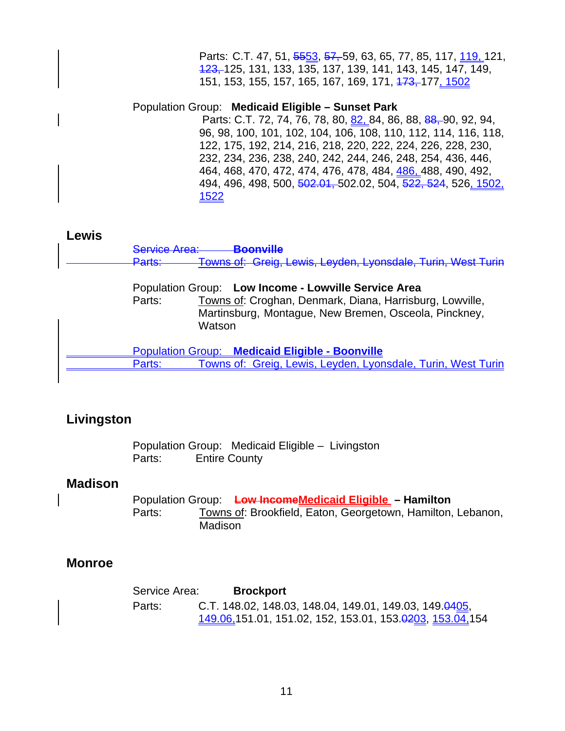Parts: C.T. 47, 51, 5553, 57, 59, 63, 65, 77, 85, 117, 119, 121, 123, 125, 131, 133, 135, 137, 139, 141, 143, 145, 147, 149, 151, 153, 155, 157, 165, 167, 169, 171, <del>173, 177, 1502</del>

Population Group: **Medicaid Eligible – Sunset Park** 

Parts: C.T. 72, 74, 76, 78, 80, 82, 84, 86, 88, 88, 90, 92, 94, 96, 98, 100, 101, 102, 104, 106, 108, 110, 112, 114, 116, 118, 122, 175, 192, 214, 216, 218, 220, 222, 224, 226, 228, 230, 232, 234, 236, 238, 240, 242, 244, 246, 248, 254, 436, 446, 464, 468, 470, 472, 474, 476, 478, 484, 486, 488, 490, 492, 494, 496, 498, 500, 502.01, 502.02, 504, 522, 524, 526, 1502, 1522

#### **Lewis**

Service Area: **Boonville** Parts: Towns of: Greig, Lewis, Leyden, Lyonsdale, Turin, West Turin

> Population Group: **Low Income - Lowville Service Area** Parts:Towns of: Croghan, Denmark, Diana, Harrisburg, Lowville, Martinsburg, Montague, New Bremen, Osceola, Pinckney, Watson

 Population Group: **Medicaid Eligible - Boonville** Parts: Towns of: Greig, Lewis, Leyden, Lyonsdale, Turin, West Turin

# **Livingston**

Population Group: Medicaid Eligible – Livingston Parts: Entire County

# **Madison**

 Population Group: **Low IncomeMedicaid Eligible – Hamilton**  Parts: Towns of: Brookfield, Eaton, Georgetown, Hamilton, Lebanon, Madison

# **Monroe**

Service Area: **Brockport**  Parts: C.T. 148.02, 148.03, 148.04, 149.01, 149.03, 149.0405, 149.06,151.01, 151.02, 152, 153.01, 153.0203, 153.04,154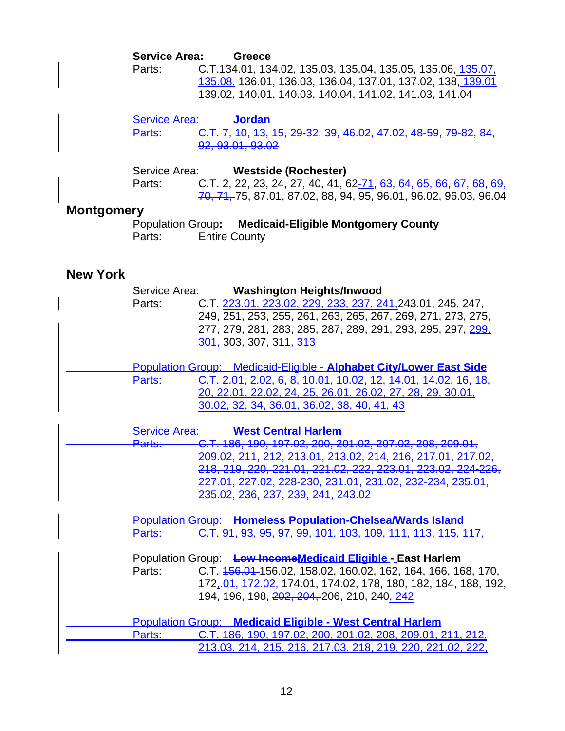#### **Service Area: Greece**

Parts: C.T.134.01, 134.02, 135.03, 135.04, 135.05, 135.06, 135.07, 135.08, 136.01, 136.03, 136.04, 137.01, 137.02, 138, 139.01 139.02, 140.01, 140.03, 140.04, 141.02, 141.03, 141.04

#### Service Area: **Jordan**

 Parts: C.T. 7, 10, 13, 15, 29-32, 39, 46.02, 47.02, 48-59, 79-82, 84, 92, 93.01, 93.02

 Service Area: **Westside (Rochester)** Parts: C.T. 2, 22, 23, 24, 27, 40, 41, 62-71, 63, 64, 65, 66, 67, 68, 69, 70, 71, 75, 87.01, 87.02, 88, 94, 95, 96.01, 96.02, 96.03, 96.04

#### **Montgomery**

Population Group**: Medicaid-Eligible Montgomery County**  Parts: Entire County

### **New York**

|        | Service Area: Washington Heights/Inwood                                 |
|--------|-------------------------------------------------------------------------|
| Parts: | C.T. 223.01, 223.02, 229, 233, 237, 241, 243.01, 245, 247,              |
|        | 249, 251, 253, 255, 261, 263, 265, 267, 269, 271, 273, 275,             |
|        | 277, 279, 281, 283, 285, 287, 289, 291, 293, 295, 297, 299,             |
|        | 301, 303, 307, 311 <del>, 313</del>                                     |
|        |                                                                         |
|        | Population Group: Medicaid-Eligible - Alphabet City/Lower East Side     |
| Parts: | C.T. 2.01, 2.02, 6, 8, 10.01, 10.02, 12, 14.01, 14.02, 16, 18,          |
|        | 20, 22.01, 22.02, 24, 25, 26.01, 26.02, 27, 28, 29, 30.01,              |
|        | 30.02, 32, 34, 36.01, 36.02, 38, 40, 41, 43                             |
|        |                                                                         |
|        | Service Area: West Central Harlem                                       |
|        | C.T. 186, 190, 197.02, 200, 201.02, 207.02, 208, 209.01,<br>Parts:      |
|        | 209.02, 211, 212, 213.01, 213.02, 214, 216, 217.01, 217.02,             |
|        | 218, 219, 220, 221.01, 221.02, 222, 223.01, 223.02, 224-226,            |
|        | 227.01, 227.02, 228-230, 231.01, 231.02, 232-234, 235.01,               |
|        | 235.02, 236, 237, 239, 241, 243.02                                      |
|        |                                                                         |
|        | <b>Population Group:</b> Homeless Population-Chelsea/Wards Island       |
|        | C.T. 91, 93, 95, 97, 99, 101, 103, 109, 111, 113, 115, 117,<br>Parts: — |
|        |                                                                         |
|        | Population Group: Low IncomeMedicaid Eligible East Harlem               |
| Parts: | C.T. 456.04-156.02, 158.02, 160.02, 162, 164, 166, 168, 170,            |
|        | 172, 04, 172.02, 174.01, 174.02, 178, 180, 182, 184, 188, 192,          |
|        | 194, 196, 198, 202, 204, 206, 210, 240, 242                             |
|        |                                                                         |
|        | <b>Population Group: Medicaid Eligible - West Central Harlem</b>        |
| Parts: | C.T. 186, 190, 197.02, 200, 201.02, 208, 209.01, 211, 212,              |
|        | <u> 213.03, 214, 215, 216, 217.03, 218, 219, 220, 221.02, 222, </u>     |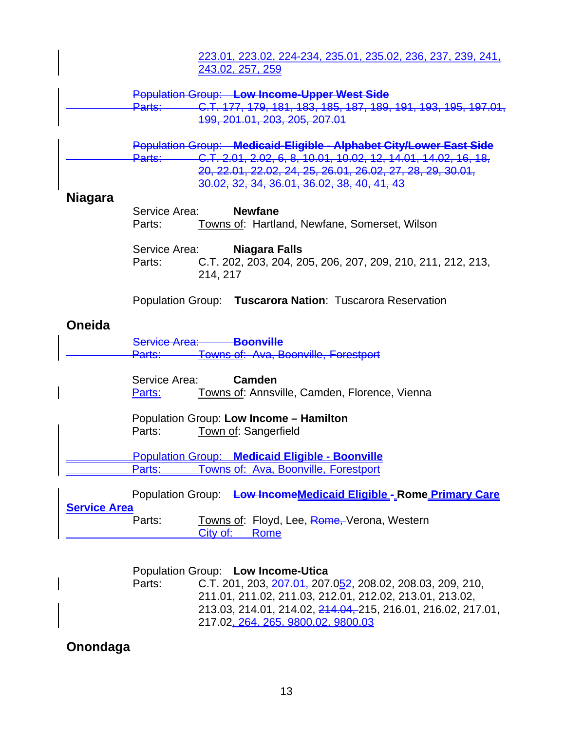|                     |                                                     |          | <u>223.01, 223.02, 224-234, 235.01, 235.02, 236, 237, 239, 241, </u><br>243.02, 257, 259                                                                                                                                                           |
|---------------------|-----------------------------------------------------|----------|----------------------------------------------------------------------------------------------------------------------------------------------------------------------------------------------------------------------------------------------------|
|                     | Parts:                                              |          | <b>Population Group: Low Income-Upper West Side</b><br>C.T. 177, 179, 181, 183, 185, 187, 189, 191, 193, 195, 197.01,<br>199, 201.01, 203, 205, 207.01                                                                                             |
|                     | Parts:                                              |          | Population Group: Medicaid-Eligible - Alphabet City/Lower East Side<br>C.T. 2.01, 2.02, 6, 8, 10.01, 10.02, 12, 14.01, 14.02, 16, 18,<br>20, 22.01, 22.02, 24, 25, 26.01, 26.02, 27, 28, 29, 30.01,<br>30.02, 32, 34, 36.01, 36.02, 38, 40, 41, 43 |
| <b>Niagara</b>      | Service Area:<br>Parts:                             |          | <b>Newfane</b><br>Towns of: Hartland, Newfane, Somerset, Wilson                                                                                                                                                                                    |
|                     | Service Area:<br>Parts:                             | 214, 217 | Niagara Falls<br>C.T. 202, 203, 204, 205, 206, 207, 209, 210, 211, 212, 213,                                                                                                                                                                       |
|                     |                                                     |          | Population Group: Tuscarora Nation: Tuscarora Reservation                                                                                                                                                                                          |
| <b>Oneida</b>       | Service Area: <b>Boonville</b><br><del>Parts:</del> |          | Towns of: Ava, Boonville, Forestport                                                                                                                                                                                                               |
|                     | Service Area:<br><u>Parts:</u>                      |          | Camden<br>Towns of: Annsville, Camden, Florence, Vienna                                                                                                                                                                                            |
|                     | Parts:                                              |          | Population Group: Low Income - Hamilton<br><b>Town of: Sangerfield</b>                                                                                                                                                                             |
|                     | Parts:                                              |          | <b>Population Group: Medicaid Eligible - Boonville</b><br>owns of: Ava, Boonville, Forestport                                                                                                                                                      |
| <b>Service Area</b> | <b>Population Group:</b>                            |          | Low IncomeMedicaid Eligible - Rome Primary Care                                                                                                                                                                                                    |
|                     | Parts:                                              | City of: | Towns of: Floyd, Lee, Rome, Verona, Western<br>Rome                                                                                                                                                                                                |

|        | Population Group: Low Income-Utica                                  |
|--------|---------------------------------------------------------------------|
| Parts: | C.T. 201, 203, $\frac{207.04}{207.052}$ , 208.02, 208.03, 209, 210, |
|        | 211.01, 211.02, 211.03, 212.01, 212.02, 213.01, 213.02,             |
|        | 213.03, 214.01, 214.02, 214.04, 215, 216.01, 216.02, 217.01,        |
|        | 217.02, 264, 265, 9800.02, 9800.03                                  |

# **Onondaga**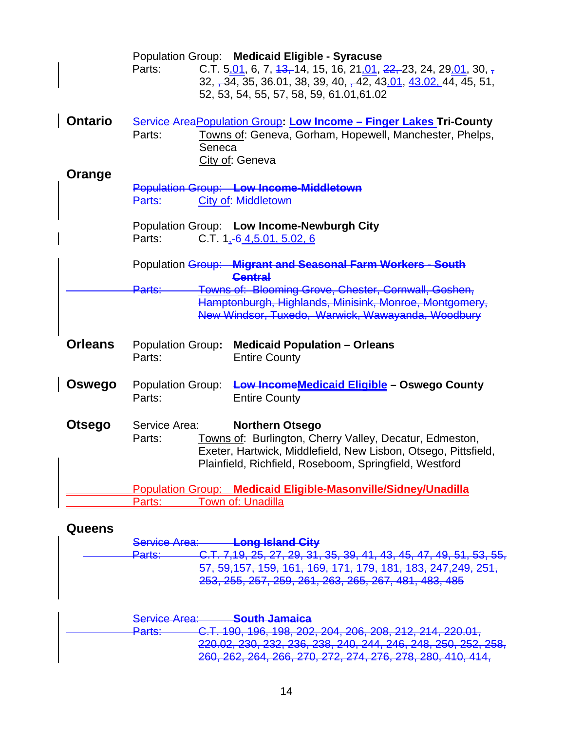|                |                          | Population Group: Medicaid Eligible - Syracuse                      |
|----------------|--------------------------|---------------------------------------------------------------------|
|                | Parts:                   | C.T. 5.01, 6, 7, $13, 14, 15, 16, 21.01, 22, 23, 24, 29.01, 30,$    |
|                |                          | $32, -34, 35, 36.01, 38, 39, 40, -42, 43.01, 43.02, 44, 45, 51,$    |
|                |                          | 52, 53, 54, 55, 57, 58, 59, 61.01, 61.02                            |
|                |                          |                                                                     |
| <b>Ontario</b> |                          | Service Area Population Group: Low Income - Finger Lakes Tri-County |
|                | Parts:                   | Towns of: Geneva, Gorham, Hopewell, Manchester, Phelps,             |
|                | Seneca                   |                                                                     |
|                |                          | City of: Geneva                                                     |
| Orange         |                          |                                                                     |
|                |                          | <b>Population Group: Low Income-Middletown</b>                      |
|                | Parts:                   | <b>City of: Middletown</b>                                          |
|                |                          | Population Group: Low Income-Newburgh City                          |
|                | Parts:                   | C.T. $1, -6, 4, 5, 01, 5, 02, 6$                                    |
|                |                          |                                                                     |
|                |                          | Population Group: Migrant and Seasonal Farm Workers - South         |
|                |                          | <b>Central</b>                                                      |
|                | Parts:                   | Towns of: Blooming Grove, Chester, Cornwall, Goshen,                |
|                |                          | Hamptonburgh, Highlands, Minisink, Monroe, Montgomery,              |
|                |                          | New Windsor, Tuxedo, Warwick, Wawayanda, Woodbury                   |
|                |                          |                                                                     |
| <b>Orleans</b> | <b>Population Group:</b> | <b>Medicaid Population - Orleans</b>                                |
|                | Parts:                   | <b>Entire County</b>                                                |
|                |                          |                                                                     |
| Oswego         | <b>Population Group:</b> | Low Income Medicaid Eligible - Oswego County                        |
|                | Parts:                   | <b>Entire County</b>                                                |
|                |                          |                                                                     |
| <b>Otsego</b>  | Service Area:            | <b>Northern Otsego</b>                                              |
|                | Parts:                   | Towns of: Burlington, Cherry Valley, Decatur, Edmeston,             |
|                |                          | Exeter, Hartwick, Middlefield, New Lisbon, Otsego, Pittsfield,      |
|                |                          | Plainfield, Richfield, Roseboom, Springfield, Westford              |
|                |                          |                                                                     |
|                |                          | Population Group: Medicaid Eligible-Masonville/Sidney/Unadilla      |
|                | Parts:                   | Town of: Unadilla                                                   |
|                |                          |                                                                     |

# **Queens**

|                           | <u>Long Island City</u>                                                                                                   |
|---------------------------|---------------------------------------------------------------------------------------------------------------------------|
| $D$ orto:<br><u>гано.</u> | $27.20.31.35.30.41.43.45.47.40.51.53.55$<br><del>o.r. 1,10, zu, z1, zu, o1, o0, o3, 41, 40, 40, 41, 40, 01, 00, 00,</del> |
|                           | 100.017.010.051<br>101<br>170 101<br><del>01, 00,101, 100, 101, 100, 111, 113, 101, 100, 241,243, 201,</del>              |
|                           | 253, 255, 257, 259, 261, 263, 265, 267, 481, 483, 485                                                                     |
|                           |                                                                                                                           |
| Candon Arao:<br>TUU ATUU  | <b>Cauth Inmains</b>                                                                                                      |

| ___________<br><del>oorvioo Alioa.</del> | <del>ovuul vamaiva</del>                                             |
|------------------------------------------|----------------------------------------------------------------------|
| $D$ orto:                                | <b>CT 100 106 108 202 204 206 208 212 214 220 01</b>                 |
|                                          | <del>U.T. 180, 180, 180, 202, 204, 200, 200, 212, 214, 220.01,</del> |
|                                          | 220.02.230.232.238.238.240.244.248.248.250.252.258                   |
|                                          | 260 262 264 266 270 272 274 276 278 280 410 414                      |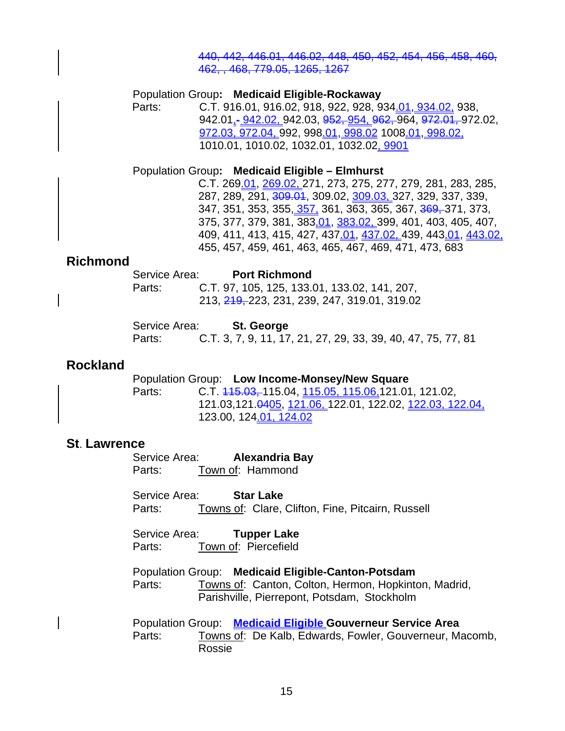#### 440, 442, 446.01, 446.02, 448, 450, 452, 454, 456, 458, 460, 462, , 468, 779.05, 1265, 1267

 Population Group**: Medicaid Eligible-Rockaway**  Parts: C.T. 916.01, 916.02, 918, 922, 928, 934.01, 934.02, 938, 942.01, - 942.02, 942.03, 952, 954, 962, 964, 972.01, 972.02, 972.03, 972.04, 992, 998.01, 998.02 1008.01, 998.02, 1010.01, 1010.02, 1032.01, 1032.02, 9901

#### Population Group**: Medicaid Eligible – Elmhurst**

 C.T. 269.01, 269.02, 271, 273, 275, 277, 279, 281, 283, 285, 287, 289, 291, 309.01, 309.02, 309.03, 327, 329, 337, 339, 347, 351, 353, 355<u>, 357,</u> 361, 363, 365, 367, <del>369,</del> 371, 373, 375, 377, 379, 381, 383.01, 383.02, 399, 401, 403, 405, 407, 409, 411, 413, 415, 427, 437.01, 437.02, 439, 443.01, 443.02, 455, 457, 459, 461, 463, 465, 467, 469, 471, 473, 683

#### **Richmond**

| Service Area: | <b>Port Richmond</b> |                                                          |  |
|---------------|----------------------|----------------------------------------------------------|--|
| Parts:        |                      | C.T. 97, 105, 125, 133.01, 133.02, 141, 207,             |  |
|               |                      | 213, <del>219, </del> 223, 231, 239, 247, 319.01, 319.02 |  |

| Service Area: | St. George                                                   |  |
|---------------|--------------------------------------------------------------|--|
| Parts:        | C.T. 3, 7, 9, 11, 17, 21, 27, 29, 33, 39, 40, 47, 75, 77, 81 |  |

#### **Rockland**

 Population Group: **Low Income-Monsey/New Square** Parts: C.T. 445.03, 115.04, 115.05, 115.06, 121.01, 121.02, 121.03,121.0405, 121.06, 122.01, 122.02, 122.03, 122.04, 123.00, 124.01, 124.02

#### **St**. **Lawrence**

 Service Area: **Alexandria Bay** Parts: Town of: Hammond

Service Area: **Star Lake** Parts: Towns of: Clare, Clifton, Fine, Pitcairn, Russell

 Service Area: **Tupper Lake** Parts: Town of: Piercefield

 Population Group: **Medicaid Eligible-Canton-Potsdam** Parts: Towns of: Canton, Colton, Hermon, Hopkinton, Madrid, Parishville, Pierrepont, Potsdam, Stockholm

 Population Group: **Medicaid Eligible Gouverneur Service Area** Parts: Towns of: De Kalb, Edwards, Fowler, Gouverneur, Macomb, Rossie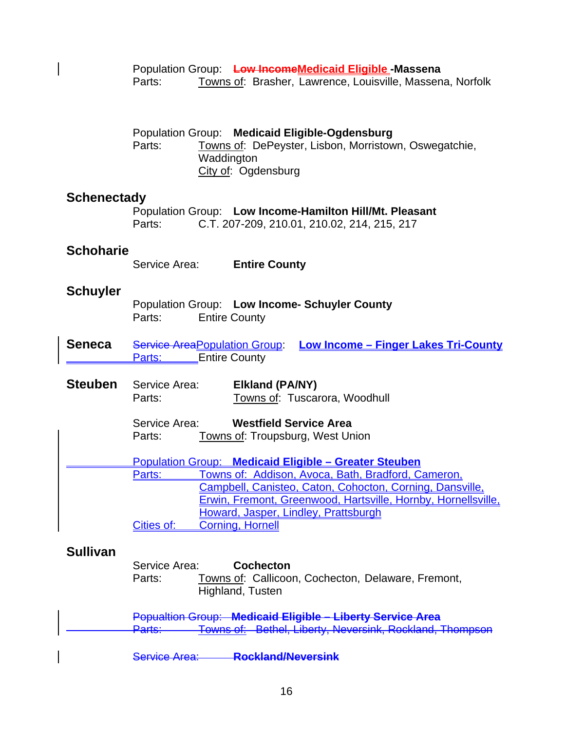|                    | Parts:                      | Population Group: Low IncomeMedicaid Eligible-Massena<br>Towns of: Brasher, Lawrence, Louisville, Massena, Norfolk                                                                                                                                                                                                        |
|--------------------|-----------------------------|---------------------------------------------------------------------------------------------------------------------------------------------------------------------------------------------------------------------------------------------------------------------------------------------------------------------------|
|                    | Parts:                      | Population Group: Medicaid Eligible-Ogdensburg<br>Towns of: DePeyster, Lisbon, Morristown, Oswegatchie,<br>Waddington<br>City of: Ogdensburg                                                                                                                                                                              |
| <b>Schenectady</b> | Parts:                      | Population Group: Low Income-Hamilton Hill/Mt. Pleasant<br>C.T. 207-209, 210.01, 210.02, 214, 215, 217                                                                                                                                                                                                                    |
| <b>Schoharie</b>   | Service Area:               | <b>Entire County</b>                                                                                                                                                                                                                                                                                                      |
| <b>Schuyler</b>    | Parts:                      | Population Group: Low Income- Schuyler County<br><b>Entire County</b>                                                                                                                                                                                                                                                     |
| <b>Seneca</b>      | Parts:                      | Service Area Population Group: Low Income - Finger Lakes Tri-County<br><b>Entire County</b>                                                                                                                                                                                                                               |
| <b>Steuben</b>     | Service Area:<br>Parts:     | <b>Elkland (PA/NY)</b><br>Towns of: Tuscarora, Woodhull                                                                                                                                                                                                                                                                   |
|                    | Service Area:<br>Parts:     | <b>Westfield Service Area</b><br><b>Towns of: Troupsburg, West Union</b>                                                                                                                                                                                                                                                  |
|                    | Parts:<br><u>Cities of:</u> | <b>Population Group: Medicaid Eligible - Greater Steuben</b><br><u>Fowns of: Addison, Avoca, Bath, Bradford, Cameron,</u><br>Campbell, Canisteo, Caton, Cohocton, Corning, Dansville,<br>Erwin, Fremont, Greenwood, Hartsville, Hornby, Hornellsville,<br>Howard, Jasper, Lindley, Prattsburgh<br><b>Corning, Hornell</b> |
| <b>Sullivan</b>    | Service Area:<br>Parts:     | <b>Cochecton</b><br>Towns of: Callicoon, Cochecton, Delaware, Fremont,<br>Highland, Tusten<br><b>Popualtion Group: Medicaid Eligible - Liberty Service Area</b>                                                                                                                                                           |
|                    | <del>Parts:</del>           | Towns of: Bethel, Liberty, Neversink, Rockland, Thompson<br>Service Area: Rockland/Neversink                                                                                                                                                                                                                              |

 $\begin{array}{c} \hline \end{array}$ 

16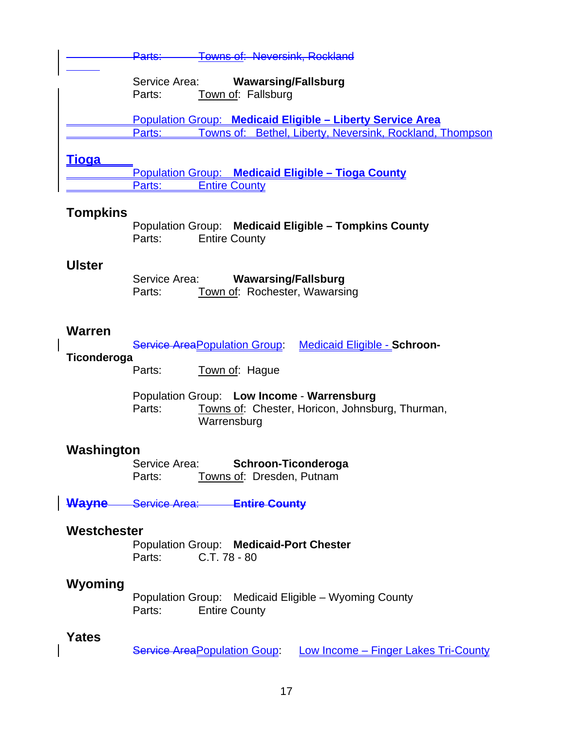|               | <b>Towns of: Neversink, Rockland</b><br><del>Parts:-</del>                                                                       |
|---------------|----------------------------------------------------------------------------------------------------------------------------------|
|               | Service Area:<br><b>Wawarsing/Fallsburg</b><br>Town of: Fallsburg<br>Parts:                                                      |
|               | Population Group: Medicaid Eligible - Liberty Service Area<br>Towns of: Bethel, Liberty, Neversink, Rockland, Thompson<br>Parts: |
| <u>Tioqa</u>  |                                                                                                                                  |
|               | Population Group: Medicaid Eligible - Tioga County<br><b>Entire County</b><br>Parts:                                             |
| Tompkins      | Population Group: Medicaid Eligible - Tompkins County<br><b>Entire County</b><br>Parts:                                          |
| <b>Ulster</b> | Service Area:<br><b>Wawarsing/Fallsburg</b><br>Town of: Rochester, Wawarsing<br>Parts:                                           |
| <b>Warren</b> |                                                                                                                                  |
| Ticonderoga   | <b>Service Area Population Group:</b><br><b>Medicaid Eligible - Schroon-</b>                                                     |
|               | Parts:<br>Town of: Hague                                                                                                         |
|               | Population Group: Low Income - Warrensburg<br>Parts:<br>Towns of: Chester, Horicon, Johnsburg, Thurman,<br>Warrensburg           |
| Washington    | Cahraan Tioondorogo<br>ConriocArea                                                                                               |

 Service Area: **Schroon-Ticonderoga** Parts: Towns of: Dresden, Putnam

**Wayne** Service Area: **Entire County**

# **Westchester**

**Population Group: Medicaid-Port Chester**<br>Parts: C.T. 78 - 80 Parts: C.T. 78 - 80

# **Wyoming**

 Population Group: Medicaid Eligible – Wyoming County **Entire County** 

#### **Yates**

Service AreaPopulation Goup: Low Income – Finger Lakes Tri-County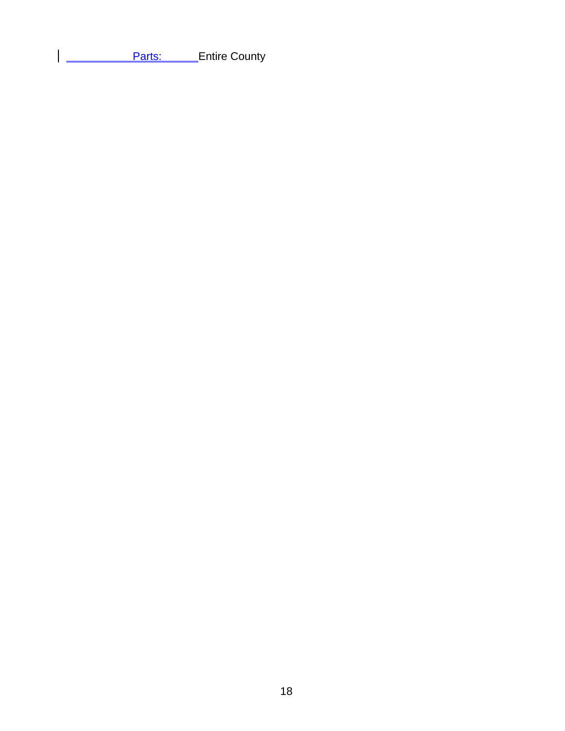**Parts:** Entire County

 $\overline{1}$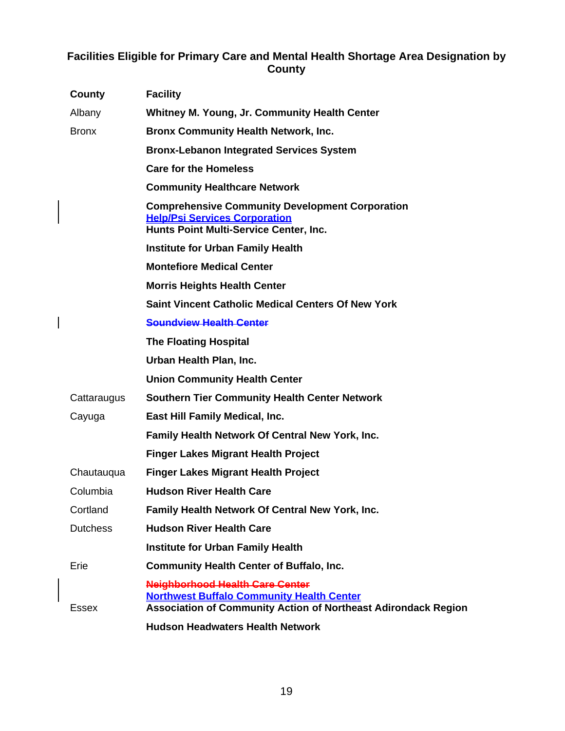### **Facilities Eligible for Primary Care and Mental Health Shortage Area Designation by County**

| County          | <b>Facility</b>                                                                                                                                                     |
|-----------------|---------------------------------------------------------------------------------------------------------------------------------------------------------------------|
| Albany          | <b>Whitney M. Young, Jr. Community Health Center</b>                                                                                                                |
| <b>Bronx</b>    | <b>Bronx Community Health Network, Inc.</b>                                                                                                                         |
|                 | <b>Bronx-Lebanon Integrated Services System</b>                                                                                                                     |
|                 | <b>Care for the Homeless</b>                                                                                                                                        |
|                 | <b>Community Healthcare Network</b>                                                                                                                                 |
|                 | <b>Comprehensive Community Development Corporation</b><br><b>Help/Psi Services Corporation</b><br>Hunts Point Multi-Service Center, Inc.                            |
|                 | <b>Institute for Urban Family Health</b>                                                                                                                            |
|                 | <b>Montefiore Medical Center</b>                                                                                                                                    |
|                 | <b>Morris Heights Health Center</b>                                                                                                                                 |
|                 | <b>Saint Vincent Catholic Medical Centers Of New York</b>                                                                                                           |
|                 | <b>Soundview Health Center</b>                                                                                                                                      |
|                 | <b>The Floating Hospital</b>                                                                                                                                        |
|                 | Urban Health Plan, Inc.                                                                                                                                             |
|                 | <b>Union Community Health Center</b>                                                                                                                                |
| Cattaraugus     | <b>Southern Tier Community Health Center Network</b>                                                                                                                |
| Cayuga          | East Hill Family Medical, Inc.                                                                                                                                      |
|                 | Family Health Network Of Central New York, Inc.                                                                                                                     |
|                 | <b>Finger Lakes Migrant Health Project</b>                                                                                                                          |
| Chautauqua      | <b>Finger Lakes Migrant Health Project</b>                                                                                                                          |
| Columbia        | <b>Hudson River Health Care</b>                                                                                                                                     |
| Cortland        | Family Health Network Of Central New York, Inc.                                                                                                                     |
| <b>Dutchess</b> | <b>Hudson River Health Care</b>                                                                                                                                     |
|                 | <b>Institute for Urban Family Health</b>                                                                                                                            |
| Erie            | <b>Community Health Center of Buffalo, Inc.</b>                                                                                                                     |
| Essex           | <b>Neighborhood Health Care Center</b><br><b>Northwest Buffalo Community Health Center</b><br><b>Association of Community Action of Northeast Adirondack Region</b> |
|                 | <b>Hudson Headwaters Health Network</b>                                                                                                                             |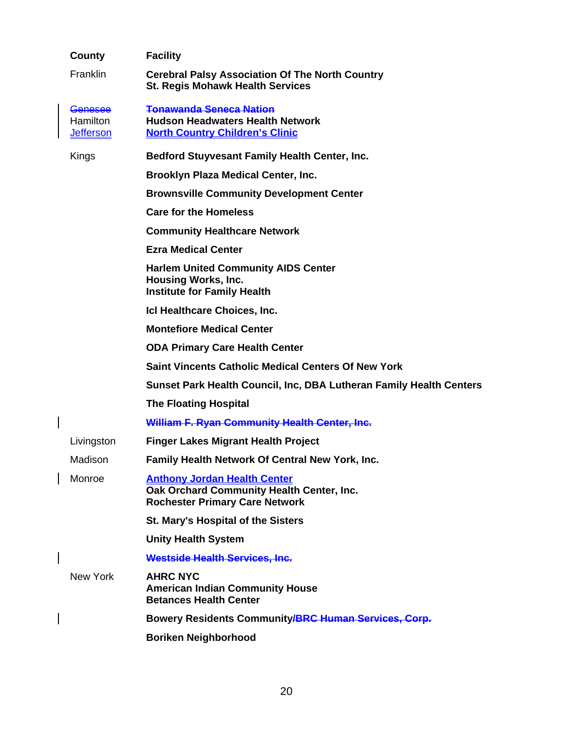| County                                                | <b>Facility</b>                                                                                                           |
|-------------------------------------------------------|---------------------------------------------------------------------------------------------------------------------------|
| Franklin                                              | <b>Cerebral Palsy Association Of The North Country</b><br><b>St. Regis Mohawk Health Services</b>                         |
| <b>Genesee</b><br><b>Hamilton</b><br><u>Jefferson</u> | <b>Tonawanda Seneca Nation</b><br><b>Hudson Headwaters Health Network</b><br><b>North Country Children's Clinic</b>       |
| Kings                                                 | <b>Bedford Stuyvesant Family Health Center, Inc.</b>                                                                      |
|                                                       | <b>Brooklyn Plaza Medical Center, Inc.</b>                                                                                |
|                                                       | <b>Brownsville Community Development Center</b>                                                                           |
|                                                       | <b>Care for the Homeless</b>                                                                                              |
|                                                       | <b>Community Healthcare Network</b>                                                                                       |
|                                                       | <b>Ezra Medical Center</b>                                                                                                |
|                                                       | <b>Harlem United Community AIDS Center</b><br><b>Housing Works, Inc.</b><br><b>Institute for Family Health</b>            |
|                                                       | Icl Healthcare Choices, Inc.                                                                                              |
|                                                       | <b>Montefiore Medical Center</b>                                                                                          |
|                                                       | <b>ODA Primary Care Health Center</b>                                                                                     |
|                                                       | <b>Saint Vincents Catholic Medical Centers Of New York</b>                                                                |
|                                                       | <b>Sunset Park Health Council, Inc, DBA Lutheran Family Health Centers</b>                                                |
|                                                       | <b>The Floating Hospital</b>                                                                                              |
|                                                       | <b>William F. Ryan Community Health Center, Inc.</b>                                                                      |
| Livingston                                            | <b>Finger Lakes Migrant Health Project</b>                                                                                |
| Madison                                               | Family Health Network Of Central New York, Inc.                                                                           |
| Monroe                                                | <b>Anthony Jordan Health Center</b><br>Oak Orchard Community Health Center, Inc.<br><b>Rochester Primary Care Network</b> |
|                                                       | <b>St. Mary's Hospital of the Sisters</b>                                                                                 |
|                                                       | <b>Unity Health System</b>                                                                                                |
|                                                       | <b>Westside Health Services, Inc.</b>                                                                                     |
| New York                                              | <b>AHRC NYC</b><br><b>American Indian Community House</b><br><b>Betances Health Center</b>                                |
|                                                       | Bowery Residents Community/BRC Human Services, Corp.                                                                      |
|                                                       | <b>Boriken Neighborhood</b>                                                                                               |
|                                                       |                                                                                                                           |

 $\overline{\phantom{a}}$ 

 $\overline{\phantom{a}}$ 

 $\begin{array}{c} \hline \end{array}$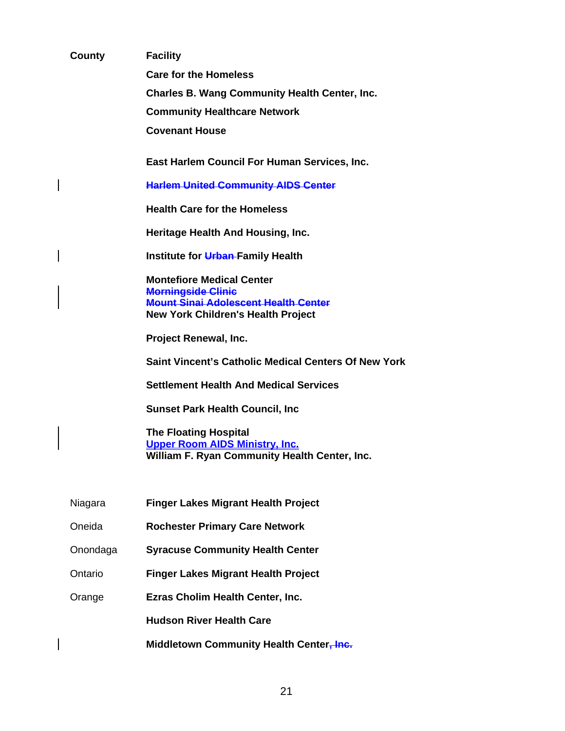| <b>County</b> | <b>Facility</b>                                                                                                        |  |  |  |
|---------------|------------------------------------------------------------------------------------------------------------------------|--|--|--|
|               | <b>Care for the Homeless</b>                                                                                           |  |  |  |
|               | <b>Charles B. Wang Community Health Center, Inc.</b>                                                                   |  |  |  |
|               | <b>Community Healthcare Network</b>                                                                                    |  |  |  |
|               | <b>Covenant House</b>                                                                                                  |  |  |  |
|               | East Harlem Council For Human Services, Inc.                                                                           |  |  |  |
|               | <b>Harlem United Community AIDS Center</b>                                                                             |  |  |  |
|               | <b>Health Care for the Homeless</b>                                                                                    |  |  |  |
|               | Heritage Health And Housing, Inc.                                                                                      |  |  |  |
|               | Institute for Urban-Family Health                                                                                      |  |  |  |
|               | <b>Montefiore Medical Center</b>                                                                                       |  |  |  |
|               | <b>Morningside Clinic</b><br><b>Mount Sinai Adolescent Health Center</b>                                               |  |  |  |
|               | <b>New York Children's Health Project</b>                                                                              |  |  |  |
|               | <b>Project Renewal, Inc.</b>                                                                                           |  |  |  |
|               | <b>Saint Vincent's Catholic Medical Centers Of New York</b>                                                            |  |  |  |
|               | <b>Settlement Health And Medical Services</b>                                                                          |  |  |  |
|               | <b>Sunset Park Health Council, Inc</b>                                                                                 |  |  |  |
|               | <b>The Floating Hospital</b><br><b>Upper Room AIDS Ministry, Inc.</b><br>William F. Ryan Community Health Center, Inc. |  |  |  |
|               |                                                                                                                        |  |  |  |
| Niagara       | <b>Finger Lakes Migrant Health Project</b>                                                                             |  |  |  |
| Oneida        | <b>Rochester Primary Care Network</b>                                                                                  |  |  |  |
| Onondaga      | <b>Syracuse Community Health Center</b>                                                                                |  |  |  |
| Ontario       | <b>Finger Lakes Migrant Health Project</b>                                                                             |  |  |  |
| Orange        | Ezras Cholim Health Center, Inc.                                                                                       |  |  |  |
|               | <b>Hudson River Health Care</b>                                                                                        |  |  |  |
|               | Middletown Community Health Center, Inc.                                                                               |  |  |  |

 $\overline{\phantom{a}}$ 

 $\overline{\phantom{a}}$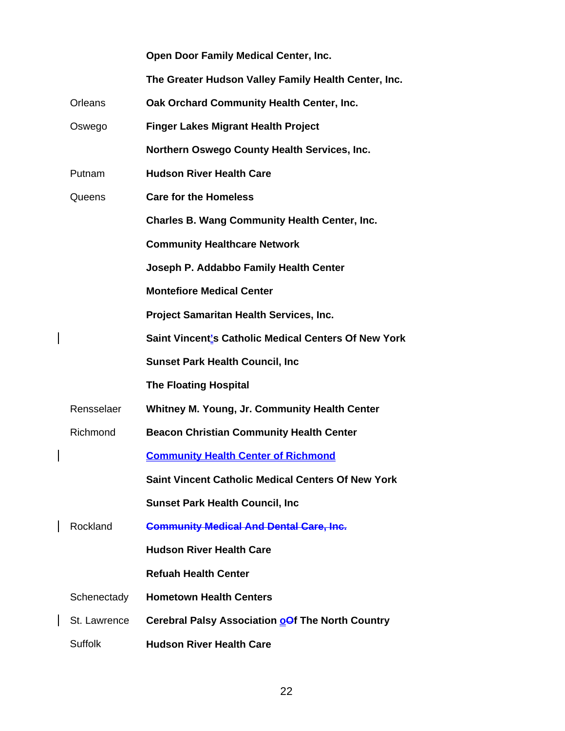|              | Open Door Family Medical Center, Inc.                     |
|--------------|-----------------------------------------------------------|
|              | The Greater Hudson Valley Family Health Center, Inc.      |
| Orleans      | Oak Orchard Community Health Center, Inc.                 |
| Oswego       | <b>Finger Lakes Migrant Health Project</b>                |
|              | Northern Oswego County Health Services, Inc.              |
| Putnam       | <b>Hudson River Health Care</b>                           |
| Queens       | <b>Care for the Homeless</b>                              |
|              | <b>Charles B. Wang Community Health Center, Inc.</b>      |
|              | <b>Community Healthcare Network</b>                       |
|              | Joseph P. Addabbo Family Health Center                    |
|              | <b>Montefiore Medical Center</b>                          |
|              | Project Samaritan Health Services, Inc.                   |
|              | Saint Vincent's Catholic Medical Centers Of New York      |
|              | <b>Sunset Park Health Council, Inc</b>                    |
|              | <b>The Floating Hospital</b>                              |
| Rensselaer   | Whitney M. Young, Jr. Community Health Center             |
| Richmond     | <b>Beacon Christian Community Health Center</b>           |
|              | <b>Community Health Center of Richmond</b>                |
|              | <b>Saint Vincent Catholic Medical Centers Of New York</b> |
|              | <b>Sunset Park Health Council, Inc</b>                    |
| Rockland     | <b>Community Medical And Dental Care, Inc.</b>            |
|              | <b>Hudson River Health Care</b>                           |
|              | <b>Refuah Health Center</b>                               |
| Schenectady  | <b>Hometown Health Centers</b>                            |
| St. Lawrence | Cerebral Palsy Association <b>oOf</b> The North Country   |
| Suffolk      | <b>Hudson River Health Care</b>                           |

 $\begin{array}{c} \rule{0pt}{2ex} \rule{0pt}{2ex} \rule{0pt}{2ex} \rule{0pt}{2ex} \rule{0pt}{2ex} \rule{0pt}{2ex} \rule{0pt}{2ex} \rule{0pt}{2ex} \rule{0pt}{2ex} \rule{0pt}{2ex} \rule{0pt}{2ex} \rule{0pt}{2ex} \rule{0pt}{2ex} \rule{0pt}{2ex} \rule{0pt}{2ex} \rule{0pt}{2ex} \rule{0pt}{2ex} \rule{0pt}{2ex} \rule{0pt}{2ex} \rule{0pt}{2ex} \rule{0pt}{2ex} \rule{0pt}{2ex} \rule{0pt}{2ex} \rule{0pt}{$ 

 $\overline{\phantom{a}}$ 

 $\begin{array}{c} \rule{0pt}{2ex} \rule{0pt}{2ex} \rule{0pt}{2ex} \rule{0pt}{2ex} \rule{0pt}{2ex} \rule{0pt}{2ex} \rule{0pt}{2ex} \rule{0pt}{2ex} \rule{0pt}{2ex} \rule{0pt}{2ex} \rule{0pt}{2ex} \rule{0pt}{2ex} \rule{0pt}{2ex} \rule{0pt}{2ex} \rule{0pt}{2ex} \rule{0pt}{2ex} \rule{0pt}{2ex} \rule{0pt}{2ex} \rule{0pt}{2ex} \rule{0pt}{2ex} \rule{0pt}{2ex} \rule{0pt}{2ex} \rule{0pt}{2ex} \rule{0pt}{$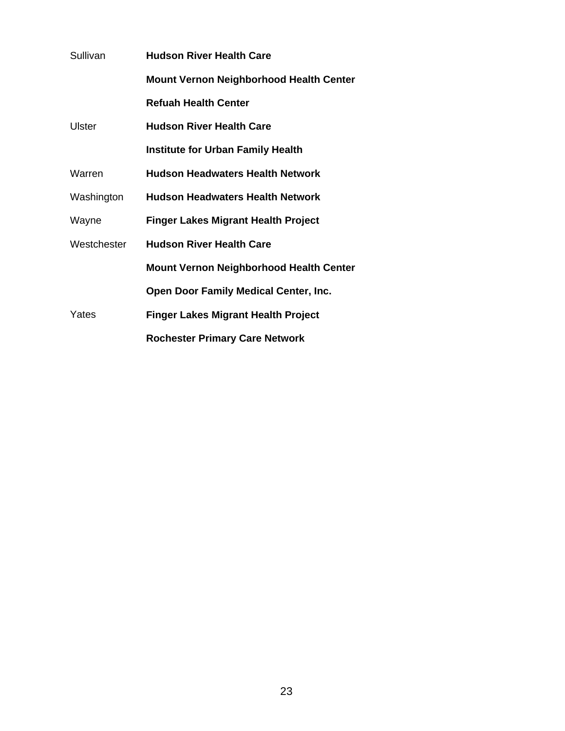| Sullivan    | <b>Hudson River Health Care</b>                |  |  |
|-------------|------------------------------------------------|--|--|
|             | <b>Mount Vernon Neighborhood Health Center</b> |  |  |
|             | <b>Refuah Health Center</b>                    |  |  |
| Ulster      | <b>Hudson River Health Care</b>                |  |  |
|             | <b>Institute for Urban Family Health</b>       |  |  |
| Warren      | <b>Hudson Headwaters Health Network</b>        |  |  |
| Washington  | <b>Hudson Headwaters Health Network</b>        |  |  |
| Wayne       | <b>Finger Lakes Migrant Health Project</b>     |  |  |
| Westchester | <b>Hudson River Health Care</b>                |  |  |
|             | <b>Mount Vernon Neighborhood Health Center</b> |  |  |
|             | <b>Open Door Family Medical Center, Inc.</b>   |  |  |
| Yates       | <b>Finger Lakes Migrant Health Project</b>     |  |  |
|             | <b>Rochester Primary Care Network</b>          |  |  |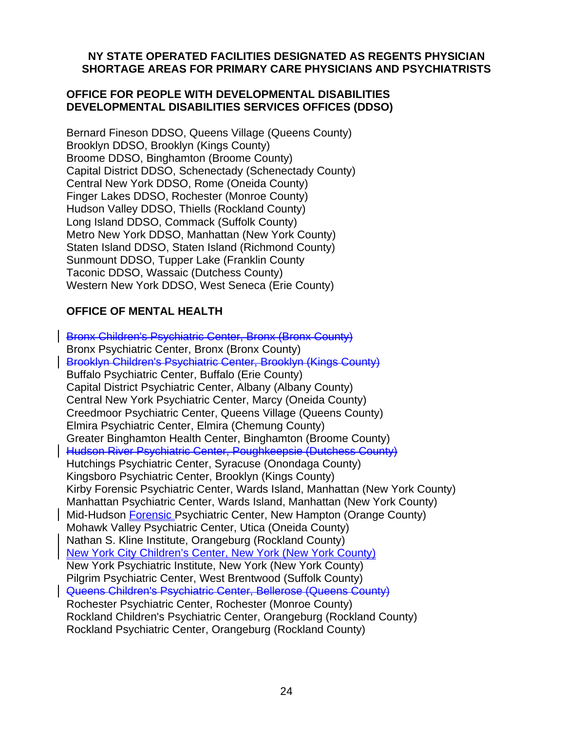#### **NY STATE OPERATED FACILITIES DESIGNATED AS REGENTS PHYSICIAN SHORTAGE AREAS FOR PRIMARY CARE PHYSICIANS AND PSYCHIATRISTS**

#### **OFFICE FOR PEOPLE WITH DEVELOPMENTAL DISABILITIES DEVELOPMENTAL DISABILITIES SERVICES OFFICES (DDSO)**

Bernard Fineson DDSO, Queens Village (Queens County) Brooklyn DDSO, Brooklyn (Kings County) Broome DDSO, Binghamton (Broome County) Capital District DDSO, Schenectady (Schenectady County) Central New York DDSO, Rome (Oneida County) Finger Lakes DDSO, Rochester (Monroe County) Hudson Valley DDSO, Thiells (Rockland County) Long Island DDSO, Commack (Suffolk County) Metro New York DDSO, Manhattan (New York County) Staten Island DDSO, Staten Island (Richmond County) Sunmount DDSO, Tupper Lake (Franklin County Taconic DDSO, Wassaic (Dutchess County) Western New York DDSO, West Seneca (Erie County)

# **OFFICE OF MENTAL HEALTH**

Bronx Children's Psychiatric Center, Bronx (Bronx County) Bronx Psychiatric Center, Bronx (Bronx County) Brooklyn Children's Psychiatric Center, Brooklyn (Kings County) Buffalo Psychiatric Center, Buffalo (Erie County) Capital District Psychiatric Center, Albany (Albany County) Central New York Psychiatric Center, Marcy (Oneida County) Creedmoor Psychiatric Center, Queens Village (Queens County) Elmira Psychiatric Center, Elmira (Chemung County) Greater Binghamton Health Center, Binghamton (Broome County) Hudson River Psychiatric Center, Poughkeepsie (Dutchess County) Hutchings Psychiatric Center, Syracuse (Onondaga County) Kingsboro Psychiatric Center, Brooklyn (Kings County) Kirby Forensic Psychiatric Center, Wards Island, Manhattan (New York County) Manhattan Psychiatric Center, Wards Island, Manhattan (New York County) Mid-Hudson Forensic Psychiatric Center, New Hampton (Orange County) Mohawk Valley Psychiatric Center, Utica (Oneida County) Nathan S. Kline Institute, Orangeburg (Rockland County) New York City Children's Center, New York (New York County) New York Psychiatric Institute, New York (New York County) Pilgrim Psychiatric Center, West Brentwood (Suffolk County) Queens Children's Psychiatric Center, Bellerose (Queens County) Rochester Psychiatric Center, Rochester (Monroe County) Rockland Children's Psychiatric Center, Orangeburg (Rockland County) Rockland Psychiatric Center, Orangeburg (Rockland County)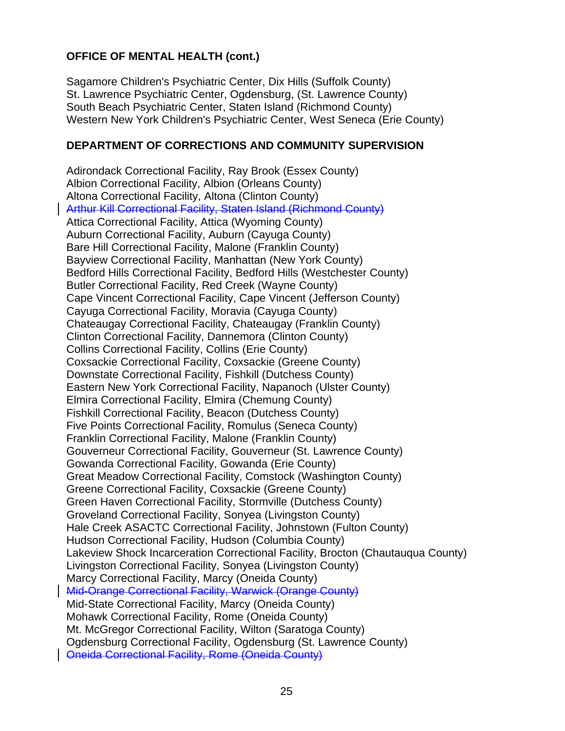# **OFFICE OF MENTAL HEALTH (cont.)**

Sagamore Children's Psychiatric Center, Dix Hills (Suffolk County) St. Lawrence Psychiatric Center, Ogdensburg, (St. Lawrence County) South Beach Psychiatric Center, Staten Island (Richmond County) Western New York Children's Psychiatric Center, West Seneca (Erie County)

#### **DEPARTMENT OF CORRECTIONS AND COMMUNITY SUPERVISION**

Adirondack Correctional Facility, Ray Brook (Essex County) Albion Correctional Facility, Albion (Orleans County) Altona Correctional Facility, Altona (Clinton County) Arthur Kill Correctional Facility, Staten Island (Richmond County) Attica Correctional Facility, Attica (Wyoming County) Auburn Correctional Facility, Auburn (Cayuga County) Bare Hill Correctional Facility, Malone (Franklin County) Bayview Correctional Facility, Manhattan (New York County) Bedford Hills Correctional Facility, Bedford Hills (Westchester County) Butler Correctional Facility, Red Creek (Wayne County) Cape Vincent Correctional Facility, Cape Vincent (Jefferson County) Cayuga Correctional Facility, Moravia (Cayuga County) Chateaugay Correctional Facility, Chateaugay (Franklin County) Clinton Correctional Facility, Dannemora (Clinton County) Collins Correctional Facility, Collins (Erie County) Coxsackie Correctional Facility, Coxsackie (Greene County) Downstate Correctional Facility, Fishkill (Dutchess County) Eastern New York Correctional Facility, Napanoch (Ulster County) Elmira Correctional Facility, Elmira (Chemung County) Fishkill Correctional Facility, Beacon (Dutchess County) Five Points Correctional Facility, Romulus (Seneca County) Franklin Correctional Facility, Malone (Franklin County) Gouverneur Correctional Facility, Gouverneur (St. Lawrence County) Gowanda Correctional Facility, Gowanda (Erie County) Great Meadow Correctional Facility, Comstock (Washington County) Greene Correctional Facility, Coxsackie (Greene County) Green Haven Correctional Facility, Stormville (Dutchess County) Groveland Correctional Facility, Sonyea (Livingston County) Hale Creek ASACTC Correctional Facility, Johnstown (Fulton County) Hudson Correctional Facility, Hudson (Columbia County) Lakeview Shock Incarceration Correctional Facility, Brocton (Chautauqua County) Livingston Correctional Facility, Sonyea (Livingston County) Marcy Correctional Facility, Marcy (Oneida County) Mid-Orange Correctional Facility, Warwick (Orange County) Mid-State Correctional Facility, Marcy (Oneida County) Mohawk Correctional Facility, Rome (Oneida County) Mt. McGregor Correctional Facility, Wilton (Saratoga County) Ogdensburg Correctional Facility, Ogdensburg (St. Lawrence County) Oneida Correctional Facility, Rome (Oneida County)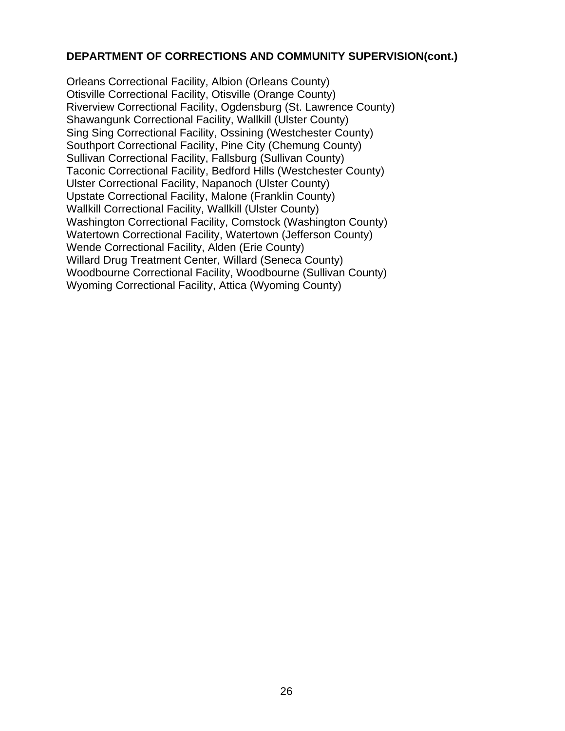#### **DEPARTMENT OF CORRECTIONS AND COMMUNITY SUPERVISION(cont.)**

Orleans Correctional Facility, Albion (Orleans County) Otisville Correctional Facility, Otisville (Orange County) Riverview Correctional Facility, Ogdensburg (St. Lawrence County) Shawangunk Correctional Facility, Wallkill (Ulster County) Sing Sing Correctional Facility, Ossining (Westchester County) Southport Correctional Facility, Pine City (Chemung County) Sullivan Correctional Facility, Fallsburg (Sullivan County) Taconic Correctional Facility, Bedford Hills (Westchester County) Ulster Correctional Facility, Napanoch (Ulster County) Upstate Correctional Facility, Malone (Franklin County) Wallkill Correctional Facility, Wallkill (Ulster County) Washington Correctional Facility, Comstock (Washington County) Watertown Correctional Facility, Watertown (Jefferson County) Wende Correctional Facility, Alden (Erie County) Willard Drug Treatment Center, Willard (Seneca County) Woodbourne Correctional Facility, Woodbourne (Sullivan County) Wyoming Correctional Facility, Attica (Wyoming County)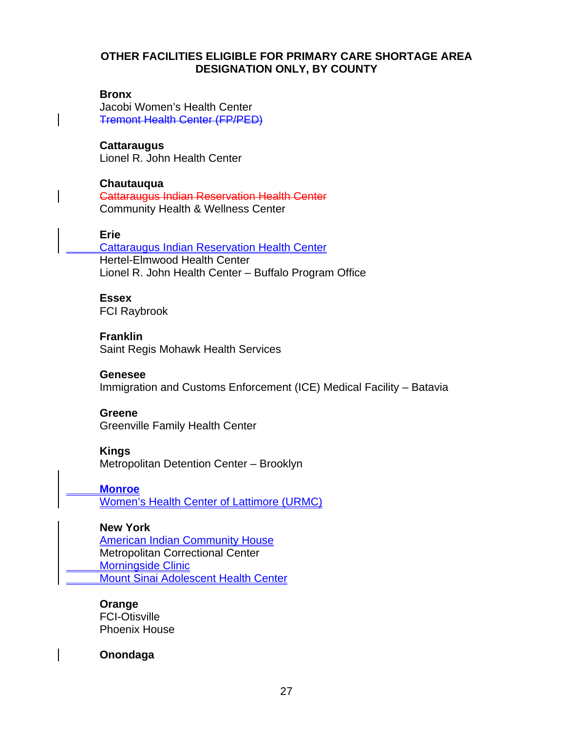#### **OTHER FACILITIES ELIGIBLE FOR PRIMARY CARE SHORTAGE AREA DESIGNATION ONLY, BY COUNTY**

#### **Bronx**

Jacobi Women's Health Center Tremont Health Center (FP/PED)

**Cattaraugus**  Lionel R. John Health Center

**Chautauqua**  Cattaraugus Indian Reservation Health Center Community Health & Wellness Center

#### **Erie**

 Cattaraugus Indian Reservation Health Center Hertel-Elmwood Health Center Lionel R. John Health Center – Buffalo Program Office

#### **Essex**

FCI Raybrook

**Franklin**  Saint Regis Mohawk Health Services

#### **Genesee**

Immigration and Customs Enforcement (ICE) Medical Facility – Batavia

#### **Greene**

Greenville Family Health Center

#### **Kings**

Metropolitan Detention Center – Brooklyn

**Monroe**

Women's Health Center of Lattimore (URMC)

#### **New York**

**American Indian Community House**  Metropolitan Correctional Center Morningside Clinic Mount Sinai Adolescent Health Center

#### **Orange**

FCI-Otisville Phoenix House

**Onondaga**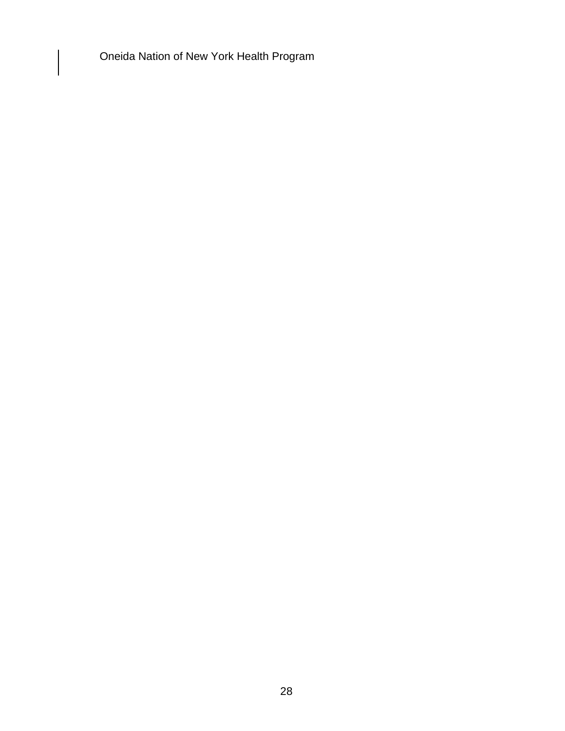Oneida Nation of New York Health Program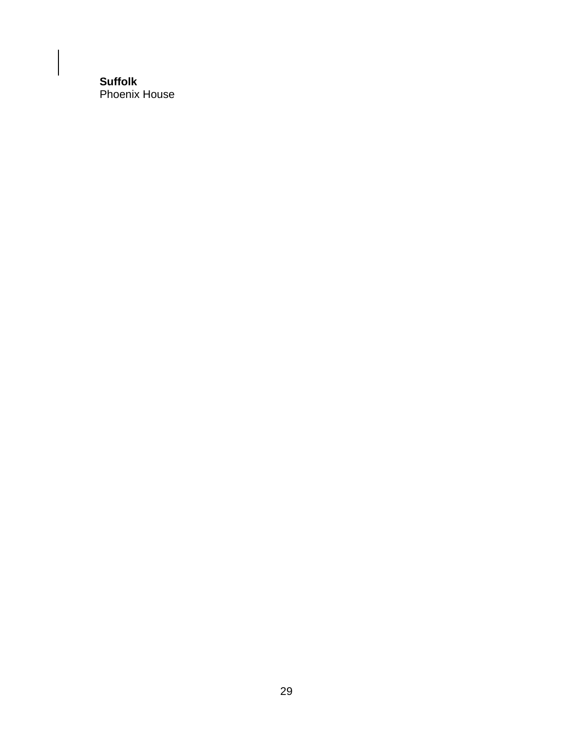#### **Suffolk**  Phoenix House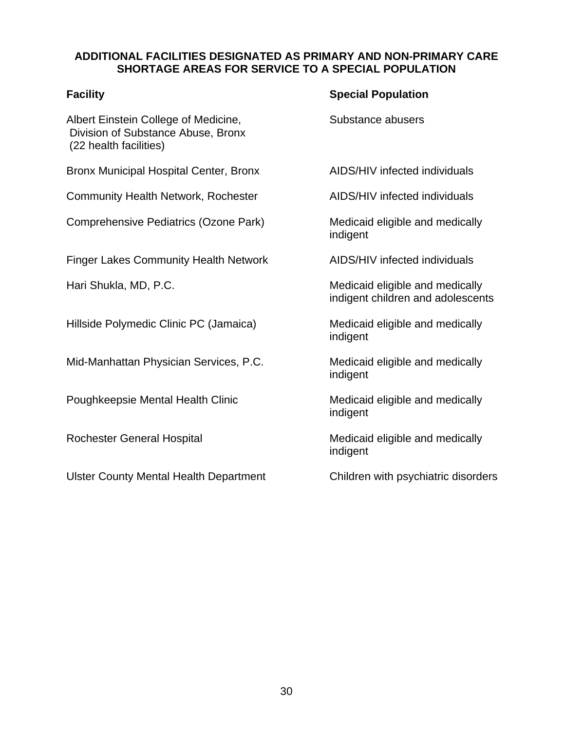#### **ADDITIONAL FACILITIES DESIGNATED AS PRIMARY AND NON-PRIMARY CARE SHORTAGE AREAS FOR SERVICE TO A SPECIAL POPULATION**

Albert Einstein College of Medicine, The Substance abusers Division of Substance Abuse, Bronx (22 health facilities)

Bronx Municipal Hospital Center, Bronx AIDS/HIV infected individuals

Community Health Network, Rochester AIDS/HIV infected individuals

Comprehensive Pediatrics (Ozone Park) Medicaid eligible and medically

Finger Lakes Community Health Network AIDS/HIV infected individuals

Hillside Polymedic Clinic PC (Jamaica) Medicaid eligible and medically

Mid-Manhattan Physician Services, P.C. Medicaid eligible and medically

Poughkeepsie Mental Health Clinic Medicaid eligible and medically

Ulster County Mental Health Department Children with psychiatric disorders

#### **Facility Special Population**

indigent

Hari Shukla, MD, P.C. The Contract of the Medicaid eligible and medically indigent children and adolescents

indigent

indigent

indigent

Rochester General Hospital Medicaid eligible and medically indigent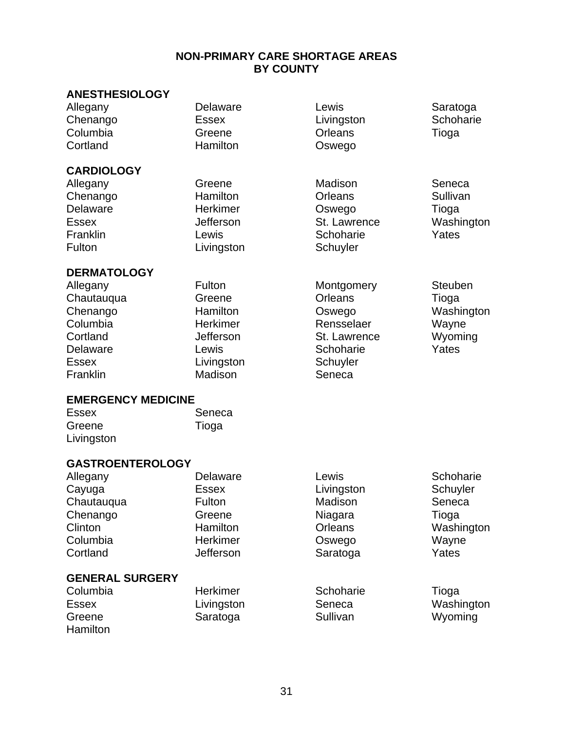#### **NON-PRIMARY CARE SHORTAGE AREAS BY COUNTY**

#### **ANESTHESIOLOGY**

Chenango Essex Livingston Schoharie<br>
Columbia Greene Crleans Tioga Columbia Greene Orleans Tioga

**CARDIOLOGY** 

Allegany Delaware Lewis Saratoga Oswego

Allegany Greene Madison Seneca Chenango Hamilton Orleans Sullivan Delaware Herkimer Oswego Tioga Essex Jefferson St. Lawrence Washington Franklin Christelle Lewis Communication Christelle Market Vates Fulton **Livingston** Schuyler

# **DERMATOLOGY**  Allegany Fulton Montgomery Steuben<br>Chautaugus Greene Creater Crises Tiese

| Chautauqua                | Greene     | <b>Orleans</b> | Tioga      |
|---------------------------|------------|----------------|------------|
| Chenango                  | Hamilton   | Oswego         | Washington |
| Columbia                  | Herkimer   | Rensselaer     | Wayne      |
| Cortland                  | Jefferson  | St. Lawrence   | Wyoming    |
| Delaware                  | Lewis      | Schoharie      | Yates      |
| <b>Essex</b>              | Livingston | Schuyler       |            |
| Franklin                  | Madison    | Seneca         |            |
| <b>EMERGENCY MEDICINE</b> |            |                |            |
| Essay:                    |            |                |            |

| <b>Essex</b> | Seneca |
|--------------|--------|
| Greene       | Tioga  |
| Livingston   |        |

#### **GASTROENTEROLOGY**

| Allegany               | Delaware                   | Lewis      | Schoharie  |
|------------------------|----------------------------|------------|------------|
| Cayuga                 | <b>Essex</b>               | Livingston | Schuyler   |
| Chautauqua             | <b>Fulton</b>              | Madison    | Seneca     |
| Chenango               | Greene                     | Niagara    | Tioga      |
| Clinton                | Hamilton                   | Orleans    | Washington |
| Columbia               | Herkimer                   | Oswego     | Wayne      |
| Cortland               | Jefferson                  | Saratoga   | Yates      |
| <b>GENERAL SURGERY</b> |                            |            |            |
| $C_1$ umbio            | $H$ orl $\dot{\theta}$ mor | Cohohorio  | Tiogra     |

| Columbia     | <b>Herkimer</b> | Schoharie | Tioga      |
|--------------|-----------------|-----------|------------|
| <b>Essex</b> | Livingston      | Seneca    | Washington |
| Greene       | Saratoga        | Sullivan  | Wyoming    |
| Hamilton     |                 |           |            |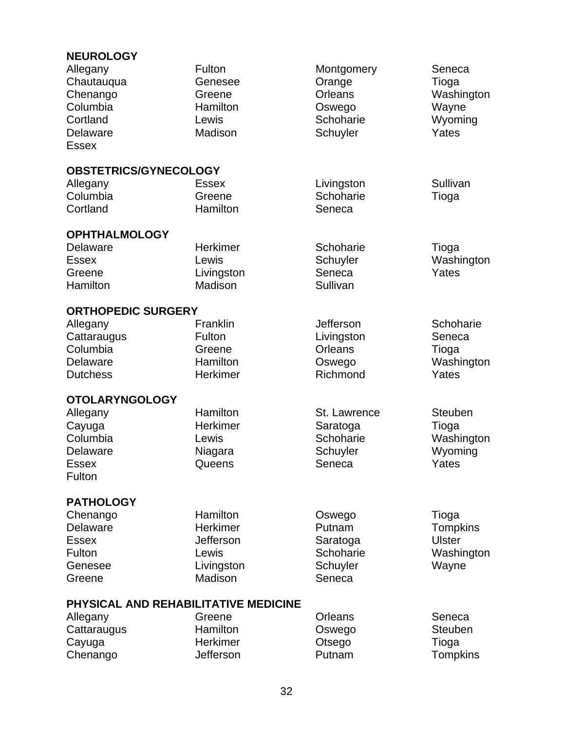# **NEUROLOGY**

| ו טשטחטבו<br>Allegany<br>Chautauqua<br>Chenango<br>Columbia<br>Cortland<br><b>Delaware</b><br><b>Essex</b> | Fulton<br>Genesee<br>Greene<br>Hamilton<br>Lewis<br>Madison | Montgomery<br>Orange<br><b>Orleans</b><br>Oswego<br>Schoharie<br>Schuyler | Seneca<br>Tioga<br>Washington<br>Wayne<br>Wyoming<br>Yates |
|------------------------------------------------------------------------------------------------------------|-------------------------------------------------------------|---------------------------------------------------------------------------|------------------------------------------------------------|
| OBSTETRICS/GYNECOLOGY                                                                                      |                                                             |                                                                           |                                                            |
| Allegany                                                                                                   | <b>Essex</b>                                                | Livingston                                                                | Sullivan                                                   |
| Columbia                                                                                                   | Greene                                                      | Schoharie                                                                 | Tioga                                                      |
| Cortland                                                                                                   | Hamilton                                                    | Seneca                                                                    |                                                            |
| <b>OPHTHALMOLOGY</b>                                                                                       |                                                             |                                                                           |                                                            |
| Delaware                                                                                                   | Herkimer                                                    | Schoharie                                                                 | Tioga                                                      |
| <b>Essex</b>                                                                                               | Lewis                                                       | Schuyler                                                                  | Washington                                                 |
| Greene                                                                                                     | Livingston                                                  | Seneca                                                                    | Yates                                                      |
| Hamilton                                                                                                   | Madison                                                     | Sullivan                                                                  |                                                            |
| <b>ORTHOPEDIC SURGERY</b>                                                                                  |                                                             |                                                                           |                                                            |
| Allegany                                                                                                   | Franklin                                                    | Jefferson                                                                 | Schoharie                                                  |
| Cattaraugus                                                                                                | Fulton                                                      | Livingston                                                                | Seneca                                                     |
| Columbia                                                                                                   | Greene                                                      | <b>Orleans</b>                                                            | Tioga                                                      |
| Delaware                                                                                                   | Hamilton                                                    | Oswego                                                                    | Washington                                                 |
| <b>Dutchess</b>                                                                                            | Herkimer                                                    | Richmond                                                                  | Yates                                                      |
| <b>OTOLARYNGOLOGY</b>                                                                                      |                                                             |                                                                           |                                                            |
| Allegany                                                                                                   | Hamilton                                                    | St. Lawrence                                                              | <b>Steuben</b>                                             |
| Cayuga                                                                                                     | Herkimer                                                    | Saratoga                                                                  | Tioga                                                      |
| Columbia                                                                                                   | Lewis                                                       | Schoharie                                                                 | Washington                                                 |
| Delaware                                                                                                   | Niagara                                                     | Schuyler                                                                  | Wyoming                                                    |
| <b>Essex</b>                                                                                               | Queens                                                      | Seneca                                                                    | Yates                                                      |
| Fulton                                                                                                     |                                                             |                                                                           |                                                            |
| <b>PATHOLOGY</b>                                                                                           |                                                             |                                                                           |                                                            |
| Chenango                                                                                                   | Hamilton                                                    | Oswego                                                                    | Tioga                                                      |
| Delaware                                                                                                   | Herkimer                                                    | Putnam                                                                    | <b>Tompkins</b>                                            |
| <b>Essex</b>                                                                                               | Jefferson                                                   | Saratoga                                                                  | <b>Ulster</b>                                              |
| Fulton                                                                                                     | Lewis                                                       | Schoharie                                                                 | Washington                                                 |
| Genesee                                                                                                    | Livingston                                                  | Schuyler                                                                  | Wayne                                                      |
| Greene                                                                                                     | Madison                                                     | Seneca                                                                    |                                                            |
| PHYSICAL AND REHABILITATIVE MEDICINE                                                                       |                                                             |                                                                           |                                                            |
| Allegany                                                                                                   | Greene                                                      | Orleans                                                                   | Seneca                                                     |
| Cattaraugus                                                                                                | Hamilton                                                    | Oswego                                                                    | <b>Steuben</b>                                             |
| Cayuga                                                                                                     | Herkimer                                                    | Otsego                                                                    | Tioga                                                      |
| Chenango                                                                                                   | Jefferson                                                   | Putnam                                                                    | <b>Tompkins</b>                                            |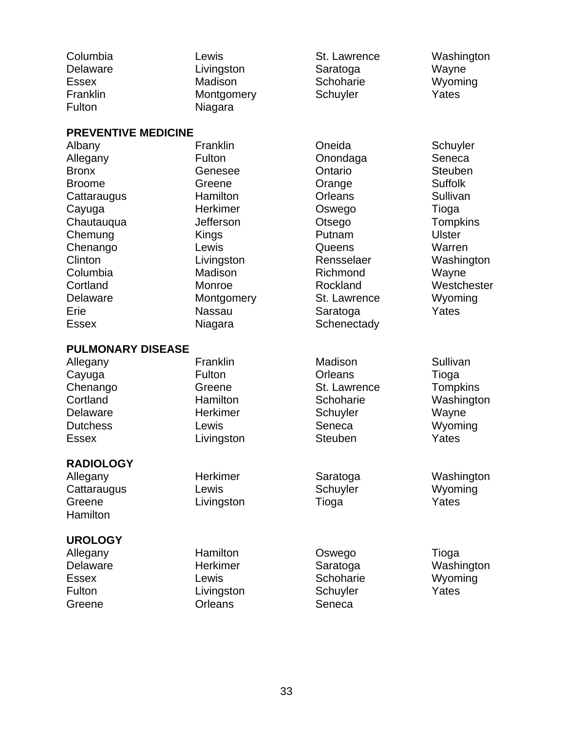| Columbia<br>Delaware<br><b>Essex</b><br>Franklin<br>Fulton                                                        | Lewis<br>Livingston<br>Madison<br>Montgomery<br>Niagara                                        | St. Lawrence<br>Saratoga<br>Schoharie<br>Schuyler                                                 | Washington<br>Wayne<br>Wyoming<br>Yates                                                                                   |
|-------------------------------------------------------------------------------------------------------------------|------------------------------------------------------------------------------------------------|---------------------------------------------------------------------------------------------------|---------------------------------------------------------------------------------------------------------------------------|
| <b>PREVENTIVE MEDICINE</b>                                                                                        |                                                                                                |                                                                                                   |                                                                                                                           |
| Albany<br>Allegany<br><b>Bronx</b><br><b>Broome</b><br>Cattaraugus<br>Cayuga<br>Chautauqua<br>Chemung<br>Chenango | Franklin<br>Fulton<br>Genesee<br>Greene<br>Hamilton<br>Herkimer<br>Jefferson<br>Kings<br>Lewis | Oneida<br>Onondaga<br>Ontario<br>Orange<br><b>Orleans</b><br>Oswego<br>Otsego<br>Putnam<br>Queens | Schuyler<br>Seneca<br><b>Steuben</b><br><b>Suffolk</b><br>Sullivan<br>Tioga<br><b>Tompkins</b><br><b>Ulster</b><br>Warren |
| Clinton<br>Columbia<br>Cortland<br>Delaware<br>Erie<br><b>Essex</b>                                               | Livingston<br>Madison<br>Monroe<br>Montgomery<br><b>Nassau</b><br>Niagara                      | Rensselaer<br>Richmond<br>Rockland<br>St. Lawrence<br>Saratoga<br>Schenectady                     | Washington<br>Wayne<br>Westchester<br>Wyoming<br>Yates                                                                    |
| <b>PULMONARY DISEASE</b>                                                                                          |                                                                                                |                                                                                                   |                                                                                                                           |
| Allegany<br>Cayuga<br>Chenango<br>Cortland<br><b>Delaware</b><br><b>Dutchess</b><br><b>Essex</b>                  | Franklin<br>Fulton<br>Greene<br>Hamilton<br><b>Herkimer</b><br>Lewis<br>Livingston             | Madison<br>Orleans<br>St. Lawrence<br>Schoharie<br>Schuyler<br>Seneca<br><b>Steuben</b>           | Sullivan<br>Tioga<br>Tompkins<br>Washington<br>Wayne<br>Wyoming<br>Yates                                                  |
| <b>RADIOLOGY</b><br>Allegany<br>Cattaraugus<br>Greene<br>Hamilton                                                 | Herkimer<br>Lewis<br>Livingston                                                                | Saratoga<br>Schuyler<br>Tioga                                                                     | Washington<br>Wyoming<br>Yates                                                                                            |
| <b>UROLOGY</b><br>Allegany<br>Delaware<br><b>Essex</b><br>Fulton<br>Greene                                        | Hamilton<br><b>Herkimer</b><br>Lewis<br>Livingston<br>Orleans                                  | Oswego<br>Saratoga<br>Schoharie<br>Schuyler<br>Seneca                                             | Tioga<br>Washington<br>Wyoming<br>Yates                                                                                   |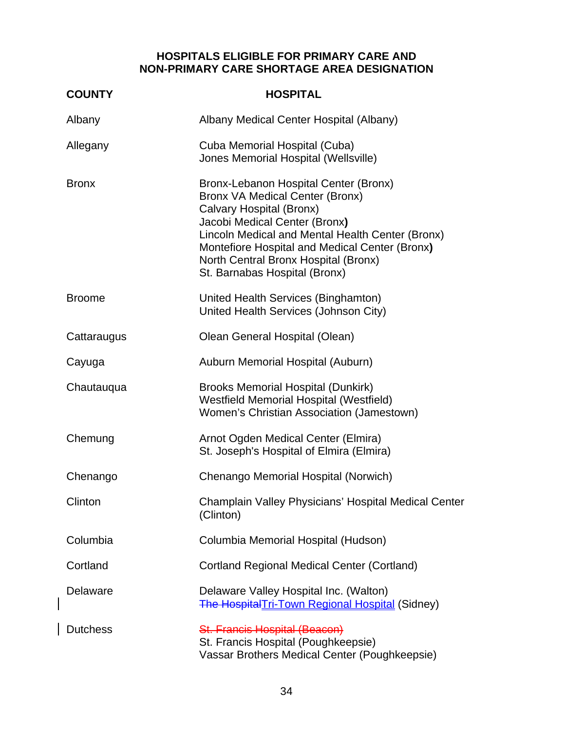### **HOSPITALS ELIGIBLE FOR PRIMARY CARE AND NON-PRIMARY CARE SHORTAGE AREA DESIGNATION**

| <b>COUNTY</b>   | <b>HOSPITAL</b>                                                                                                                                                                                                                                                                                                             |
|-----------------|-----------------------------------------------------------------------------------------------------------------------------------------------------------------------------------------------------------------------------------------------------------------------------------------------------------------------------|
| Albany          | Albany Medical Center Hospital (Albany)                                                                                                                                                                                                                                                                                     |
| Allegany        | Cuba Memorial Hospital (Cuba)<br>Jones Memorial Hospital (Wellsville)                                                                                                                                                                                                                                                       |
| <b>Bronx</b>    | Bronx-Lebanon Hospital Center (Bronx)<br><b>Bronx VA Medical Center (Bronx)</b><br>Calvary Hospital (Bronx)<br>Jacobi Medical Center (Bronx)<br>Lincoln Medical and Mental Health Center (Bronx)<br>Montefiore Hospital and Medical Center (Bronx)<br>North Central Bronx Hospital (Bronx)<br>St. Barnabas Hospital (Bronx) |
| <b>Broome</b>   | United Health Services (Binghamton)<br>United Health Services (Johnson City)                                                                                                                                                                                                                                                |
| Cattaraugus     | Olean General Hospital (Olean)                                                                                                                                                                                                                                                                                              |
| Cayuga          | Auburn Memorial Hospital (Auburn)                                                                                                                                                                                                                                                                                           |
| Chautauqua      | <b>Brooks Memorial Hospital (Dunkirk)</b><br><b>Westfield Memorial Hospital (Westfield)</b><br>Women's Christian Association (Jamestown)                                                                                                                                                                                    |
| Chemung         | Arnot Ogden Medical Center (Elmira)<br>St. Joseph's Hospital of Elmira (Elmira)                                                                                                                                                                                                                                             |
| Chenango        | Chenango Memorial Hospital (Norwich)                                                                                                                                                                                                                                                                                        |
| Clinton         | Champlain Valley Physicians' Hospital Medical Center<br>(Clinton)                                                                                                                                                                                                                                                           |
| Columbia        | Columbia Memorial Hospital (Hudson)                                                                                                                                                                                                                                                                                         |
| Cortland        | <b>Cortland Regional Medical Center (Cortland)</b>                                                                                                                                                                                                                                                                          |
| <b>Delaware</b> | Delaware Valley Hospital Inc. (Walton)<br><b>The HospitalTri-Town Regional Hospital (Sidney)</b>                                                                                                                                                                                                                            |
| <b>Dutchess</b> | St. Francis Hospital (Beacon)<br>St. Francis Hospital (Poughkeepsie)<br>Vassar Brothers Medical Center (Poughkeepsie)                                                                                                                                                                                                       |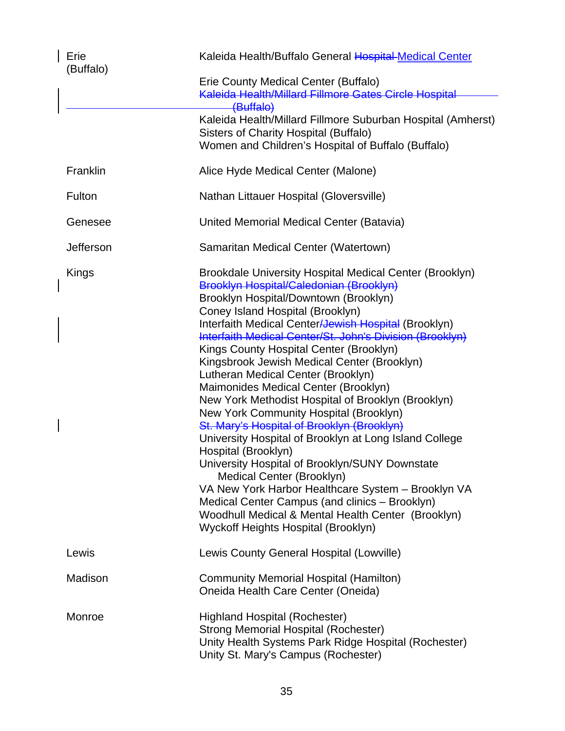| Erie<br>(Buffalo) | Kaleida Health/Buffalo General Hospital Medical Center                                                                                                                                                                                                                                                                                                                                                                                                                                                                                                                                                                                                                                                                                                                                                                                                                                                                                                                                                                   |  |
|-------------------|--------------------------------------------------------------------------------------------------------------------------------------------------------------------------------------------------------------------------------------------------------------------------------------------------------------------------------------------------------------------------------------------------------------------------------------------------------------------------------------------------------------------------------------------------------------------------------------------------------------------------------------------------------------------------------------------------------------------------------------------------------------------------------------------------------------------------------------------------------------------------------------------------------------------------------------------------------------------------------------------------------------------------|--|
|                   | Erie County Medical Center (Buffalo)<br>Kaleida Health/Millard Fillmore Gates Circle Hospital                                                                                                                                                                                                                                                                                                                                                                                                                                                                                                                                                                                                                                                                                                                                                                                                                                                                                                                            |  |
|                   | (Buffalo)<br>Kaleida Health/Millard Fillmore Suburban Hospital (Amherst)<br>Sisters of Charity Hospital (Buffalo)<br>Women and Children's Hospital of Buffalo (Buffalo)                                                                                                                                                                                                                                                                                                                                                                                                                                                                                                                                                                                                                                                                                                                                                                                                                                                  |  |
| Franklin          | Alice Hyde Medical Center (Malone)                                                                                                                                                                                                                                                                                                                                                                                                                                                                                                                                                                                                                                                                                                                                                                                                                                                                                                                                                                                       |  |
| Fulton            | Nathan Littauer Hospital (Gloversville)                                                                                                                                                                                                                                                                                                                                                                                                                                                                                                                                                                                                                                                                                                                                                                                                                                                                                                                                                                                  |  |
| Genesee           | United Memorial Medical Center (Batavia)                                                                                                                                                                                                                                                                                                                                                                                                                                                                                                                                                                                                                                                                                                                                                                                                                                                                                                                                                                                 |  |
| Jefferson         | Samaritan Medical Center (Watertown)                                                                                                                                                                                                                                                                                                                                                                                                                                                                                                                                                                                                                                                                                                                                                                                                                                                                                                                                                                                     |  |
| Kings             | <b>Brookdale University Hospital Medical Center (Brooklyn)</b><br>Brooklyn Hospital/Caledonian (Brooklyn)<br>Brooklyn Hospital/Downtown (Brooklyn)<br>Coney Island Hospital (Brooklyn)<br>Interfaith Medical Center <del>/Jewish Hospital</del> (Brooklyn)<br>Interfaith Medical Center/St. John's Division (Brooklyn)<br>Kings County Hospital Center (Brooklyn)<br>Kingsbrook Jewish Medical Center (Brooklyn)<br>Lutheran Medical Center (Brooklyn)<br>Maimonides Medical Center (Brooklyn)<br>New York Methodist Hospital of Brooklyn (Brooklyn)<br>New York Community Hospital (Brooklyn)<br>St. Mary's Hospital of Brooklyn (Brooklyn)<br>University Hospital of Brooklyn at Long Island College<br>Hospital (Brooklyn)<br>University Hospital of Brooklyn/SUNY Downstate<br>Medical Center (Brooklyn)<br>VA New York Harbor Healthcare System - Brooklyn VA<br>Medical Center Campus (and clinics - Brooklyn)<br>Woodhull Medical & Mental Health Center (Brooklyn)<br><b>Wyckoff Heights Hospital (Brooklyn)</b> |  |
| Lewis             | Lewis County General Hospital (Lowville)                                                                                                                                                                                                                                                                                                                                                                                                                                                                                                                                                                                                                                                                                                                                                                                                                                                                                                                                                                                 |  |
| Madison           | <b>Community Memorial Hospital (Hamilton)</b><br>Oneida Health Care Center (Oneida)                                                                                                                                                                                                                                                                                                                                                                                                                                                                                                                                                                                                                                                                                                                                                                                                                                                                                                                                      |  |
| Monroe            | <b>Highland Hospital (Rochester)</b><br><b>Strong Memorial Hospital (Rochester)</b><br>Unity Health Systems Park Ridge Hospital (Rochester)<br>Unity St. Mary's Campus (Rochester)                                                                                                                                                                                                                                                                                                                                                                                                                                                                                                                                                                                                                                                                                                                                                                                                                                       |  |

 $\overline{\phantom{a}}$ 

 $\overline{\phantom{a}}$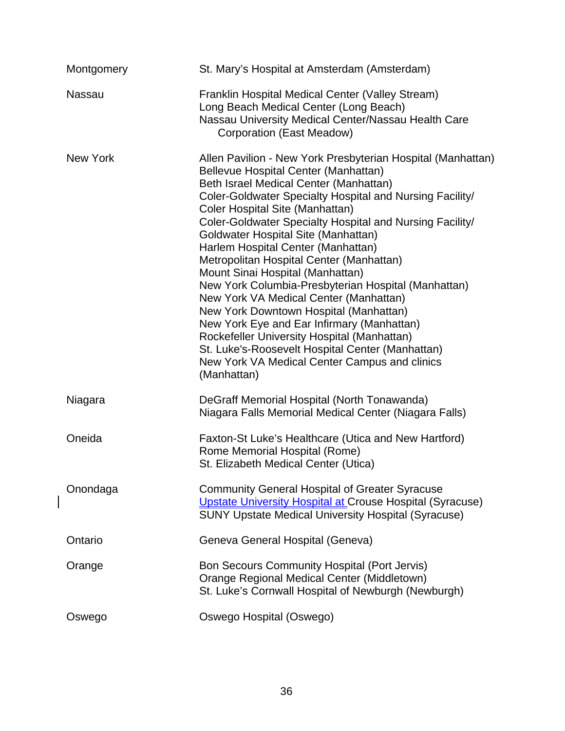| Montgomery    | St. Mary's Hospital at Amsterdam (Amsterdam)                                                                                                                                                                                                                                                                                                                                                                                                                                                                                                                                                                                                                                                                                                                                                                                      |
|---------------|-----------------------------------------------------------------------------------------------------------------------------------------------------------------------------------------------------------------------------------------------------------------------------------------------------------------------------------------------------------------------------------------------------------------------------------------------------------------------------------------------------------------------------------------------------------------------------------------------------------------------------------------------------------------------------------------------------------------------------------------------------------------------------------------------------------------------------------|
| <b>Nassau</b> | Franklin Hospital Medical Center (Valley Stream)<br>Long Beach Medical Center (Long Beach)<br>Nassau University Medical Center/Nassau Health Care<br>Corporation (East Meadow)                                                                                                                                                                                                                                                                                                                                                                                                                                                                                                                                                                                                                                                    |
| New York      | Allen Pavilion - New York Presbyterian Hospital (Manhattan)<br>Bellevue Hospital Center (Manhattan)<br>Beth Israel Medical Center (Manhattan)<br>Coler-Goldwater Specialty Hospital and Nursing Facility/<br>Coler Hospital Site (Manhattan)<br>Coler-Goldwater Specialty Hospital and Nursing Facility/<br>Goldwater Hospital Site (Manhattan)<br>Harlem Hospital Center (Manhattan)<br>Metropolitan Hospital Center (Manhattan)<br>Mount Sinai Hospital (Manhattan)<br>New York Columbia-Presbyterian Hospital (Manhattan)<br>New York VA Medical Center (Manhattan)<br>New York Downtown Hospital (Manhattan)<br>New York Eye and Ear Infirmary (Manhattan)<br>Rockefeller University Hospital (Manhattan)<br>St. Luke's-Roosevelt Hospital Center (Manhattan)<br>New York VA Medical Center Campus and clinics<br>(Manhattan) |
| Niagara       | DeGraff Memorial Hospital (North Tonawanda)<br>Niagara Falls Memorial Medical Center (Niagara Falls)                                                                                                                                                                                                                                                                                                                                                                                                                                                                                                                                                                                                                                                                                                                              |
| Oneida        | Faxton-St Luke's Healthcare (Utica and New Hartford)<br>Rome Memorial Hospital (Rome)<br>St. Elizabeth Medical Center (Utica)                                                                                                                                                                                                                                                                                                                                                                                                                                                                                                                                                                                                                                                                                                     |
| Onondaga      | <b>Community General Hospital of Greater Syracuse</b><br>Upstate University Hospital at Crouse Hospital (Syracuse)<br><b>SUNY Upstate Medical University Hospital (Syracuse)</b>                                                                                                                                                                                                                                                                                                                                                                                                                                                                                                                                                                                                                                                  |
| Ontario       | Geneva General Hospital (Geneva)                                                                                                                                                                                                                                                                                                                                                                                                                                                                                                                                                                                                                                                                                                                                                                                                  |
| Orange        | Bon Secours Community Hospital (Port Jervis)<br>Orange Regional Medical Center (Middletown)<br>St. Luke's Cornwall Hospital of Newburgh (Newburgh)                                                                                                                                                                                                                                                                                                                                                                                                                                                                                                                                                                                                                                                                                |
| Oswego        | Oswego Hospital (Oswego)                                                                                                                                                                                                                                                                                                                                                                                                                                                                                                                                                                                                                                                                                                                                                                                                          |

 $\begin{array}{c} \rule{0pt}{2.5ex} \rule{0pt}{2.5ex} \rule{0pt}{2.5ex} \rule{0pt}{2.5ex} \rule{0pt}{2.5ex} \rule{0pt}{2.5ex} \rule{0pt}{2.5ex} \rule{0pt}{2.5ex} \rule{0pt}{2.5ex} \rule{0pt}{2.5ex} \rule{0pt}{2.5ex} \rule{0pt}{2.5ex} \rule{0pt}{2.5ex} \rule{0pt}{2.5ex} \rule{0pt}{2.5ex} \rule{0pt}{2.5ex} \rule{0pt}{2.5ex} \rule{0pt}{2.5ex} \rule{0pt}{2.5ex} \rule{0$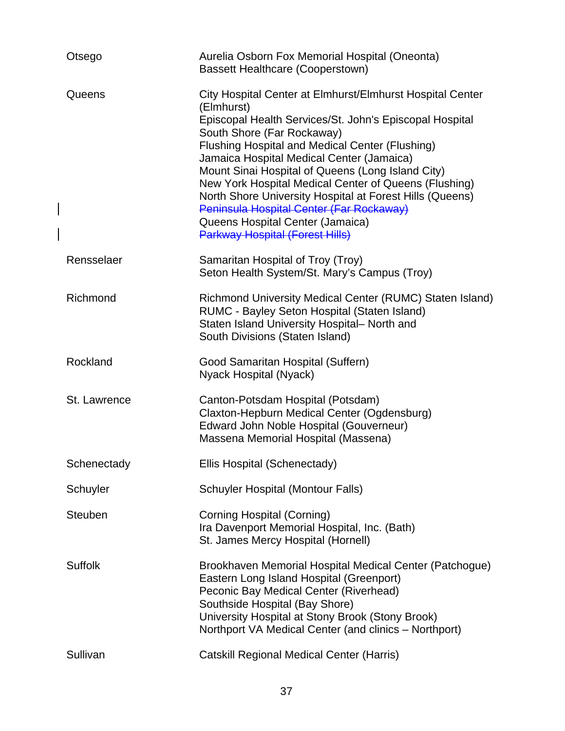| Otsego         | Aurelia Osborn Fox Memorial Hospital (Oneonta)<br><b>Bassett Healthcare (Cooperstown)</b>                                                                                                                                                                                                                                                                                                                                                                                                                                                                            |
|----------------|----------------------------------------------------------------------------------------------------------------------------------------------------------------------------------------------------------------------------------------------------------------------------------------------------------------------------------------------------------------------------------------------------------------------------------------------------------------------------------------------------------------------------------------------------------------------|
| Queens         | City Hospital Center at Elmhurst/Elmhurst Hospital Center<br>(Elmhurst)<br>Episcopal Health Services/St. John's Episcopal Hospital<br>South Shore (Far Rockaway)<br>Flushing Hospital and Medical Center (Flushing)<br>Jamaica Hospital Medical Center (Jamaica)<br>Mount Sinai Hospital of Queens (Long Island City)<br>New York Hospital Medical Center of Queens (Flushing)<br>North Shore University Hospital at Forest Hills (Queens)<br>Peninsula Hospital Center (Far Rockaway)<br>Queens Hospital Center (Jamaica)<br><b>Parkway Hospital (Forest Hills)</b> |
| Rensselaer     | Samaritan Hospital of Troy (Troy)<br>Seton Health System/St. Mary's Campus (Troy)                                                                                                                                                                                                                                                                                                                                                                                                                                                                                    |
| Richmond       | Richmond University Medical Center (RUMC) Staten Island)<br>RUMC - Bayley Seton Hospital (Staten Island)<br>Staten Island University Hospital- North and<br>South Divisions (Staten Island)                                                                                                                                                                                                                                                                                                                                                                          |
| Rockland       | Good Samaritan Hospital (Suffern)<br>Nyack Hospital (Nyack)                                                                                                                                                                                                                                                                                                                                                                                                                                                                                                          |
| St. Lawrence   | Canton-Potsdam Hospital (Potsdam)<br>Claxton-Hepburn Medical Center (Ogdensburg)<br>Edward John Noble Hospital (Gouverneur)<br>Massena Memorial Hospital (Massena)                                                                                                                                                                                                                                                                                                                                                                                                   |
| Schenectady    | Ellis Hospital (Schenectady)                                                                                                                                                                                                                                                                                                                                                                                                                                                                                                                                         |
| Schuyler       | <b>Schuyler Hospital (Montour Falls)</b>                                                                                                                                                                                                                                                                                                                                                                                                                                                                                                                             |
| <b>Steuben</b> | <b>Corning Hospital (Corning)</b><br>Ira Davenport Memorial Hospital, Inc. (Bath)<br>St. James Mercy Hospital (Hornell)                                                                                                                                                                                                                                                                                                                                                                                                                                              |
| <b>Suffolk</b> | Brookhaven Memorial Hospital Medical Center (Patchogue)<br>Eastern Long Island Hospital (Greenport)<br>Peconic Bay Medical Center (Riverhead)<br>Southside Hospital (Bay Shore)<br>University Hospital at Stony Brook (Stony Brook)<br>Northport VA Medical Center (and clinics - Northport)                                                                                                                                                                                                                                                                         |
| Sullivan       | <b>Catskill Regional Medical Center (Harris)</b>                                                                                                                                                                                                                                                                                                                                                                                                                                                                                                                     |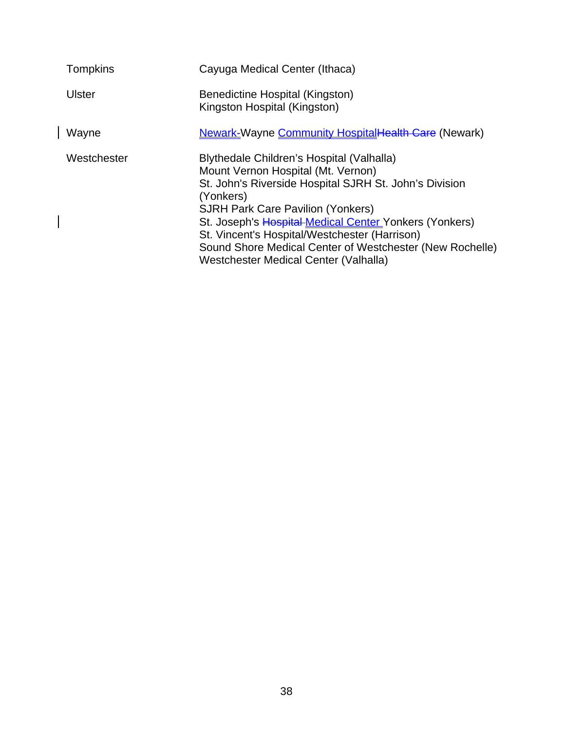| <b>Tompkins</b> | Cayuga Medical Center (Ithaca)                                                                                                                                                                                                                                                                                                                                                                                     |
|-----------------|--------------------------------------------------------------------------------------------------------------------------------------------------------------------------------------------------------------------------------------------------------------------------------------------------------------------------------------------------------------------------------------------------------------------|
| <b>Ulster</b>   | Benedictine Hospital (Kingston)<br>Kingston Hospital (Kingston)                                                                                                                                                                                                                                                                                                                                                    |
| Wayne           | <b>Newark-Wayne Community HospitalHealth Care (Newark)</b>                                                                                                                                                                                                                                                                                                                                                         |
| Westchester     | Blythedale Children's Hospital (Valhalla)<br>Mount Vernon Hospital (Mt. Vernon)<br>St. John's Riverside Hospital SJRH St. John's Division<br>(Yonkers)<br><b>SJRH Park Care Pavilion (Yonkers)</b><br>St. Joseph's Hospital-Medical Center Yonkers (Yonkers)<br>St. Vincent's Hospital/Westchester (Harrison)<br>Sound Shore Medical Center of Westchester (New Rochelle)<br>Westchester Medical Center (Valhalla) |

 $\begin{array}{c} \hline \end{array}$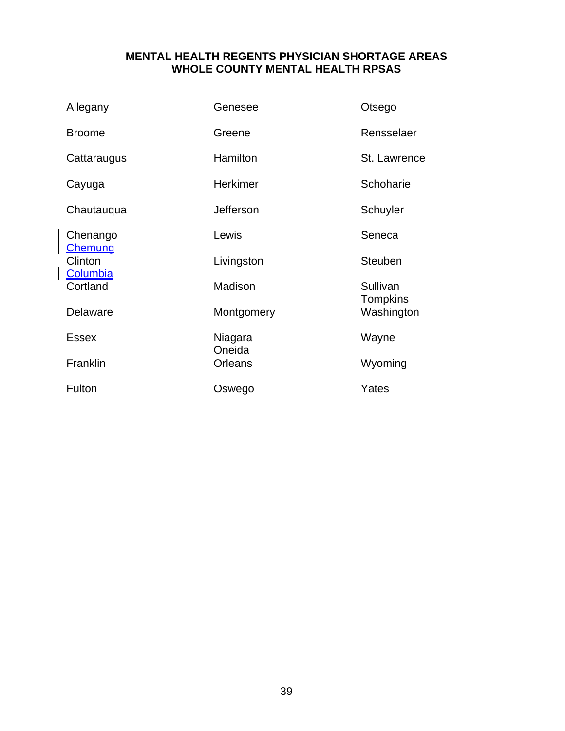### **MENTAL HEALTH REGENTS PHYSICIAN SHORTAGE AREAS WHOLE COUNTY MENTAL HEALTH RPSAS**

| Allegany                    | Genesee           | Otsego                      |
|-----------------------------|-------------------|-----------------------------|
| <b>Broome</b>               | Greene            | Rensselaer                  |
| Cattaraugus                 | Hamilton          | St. Lawrence                |
| Cayuga                      | <b>Herkimer</b>   | Schoharie                   |
| Chautauqua                  | Jefferson         | Schuyler                    |
| Chenango                    | Lewis             | Seneca                      |
| <b>Chemung</b><br>Clinton   | Livingston        | <b>Steuben</b>              |
| <u>Columbia</u><br>Cortland | Madison           | Sullivan<br><b>Tompkins</b> |
| Delaware                    | Montgomery        | Washington                  |
| <b>Essex</b>                | Niagara<br>Oneida | Wayne                       |
| Franklin                    | <b>Orleans</b>    | Wyoming                     |
| Fulton                      | Oswego            | Yates                       |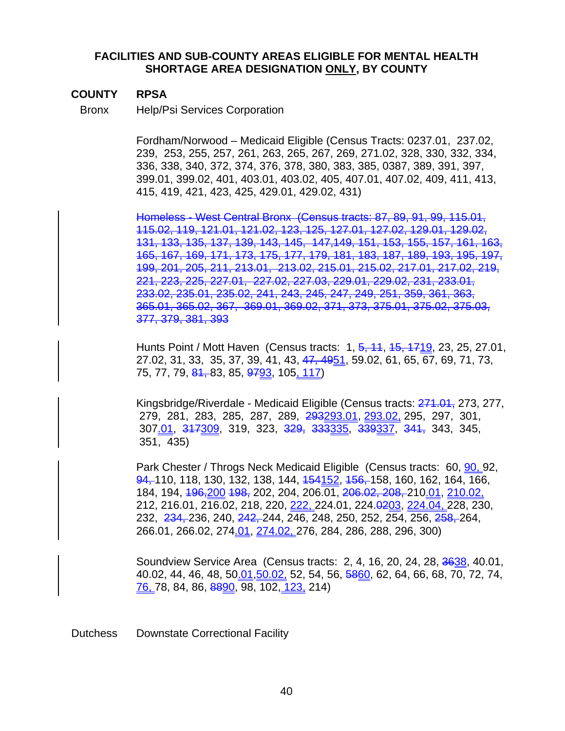#### **FACILITIES AND SUB-COUNTY AREAS ELIGIBLE FOR MENTAL HEALTH SHORTAGE AREA DESIGNATION ONLY, BY COUNTY**

#### **COUNTY RPSA**

Bronx Help/Psi Services Corporation

Fordham/Norwood – Medicaid Eligible (Census Tracts: 0237.01, 237.02, 239, 253, 255, 257, 261, 263, 265, 267, 269, 271.02, 328, 330, 332, 334, 336, 338, 340, 372, 374, 376, 378, 380, 383, 385, 0387, 389, 391, 397, 399.01, 399.02, 401, 403.01, 403.02, 405, 407.01, 407.02, 409, 411, 413, 415, 419, 421, 423, 425, 429.01, 429.02, 431)

Homeless - West Central Bronx(Census tracts: 87, 89, 91, 99, 115.01, 115.02, 119, 121.01, 121.02, 123, 125, 127.01, 127.02, 129.01, 129.02, 131, 133, 135, 137, 139, 143, 145, 147,149, 151, 153, 155, 157, 161, 163, 165, 167, 169, 171, 173, 175, 177, 179, 181, 183, 187, 189, 193, 195, 197, 199, 201, 205, 211, 213.01, 213.02, 215.01, 215.02, 217.01, 217.02, 219, 221, 223, 225, 227.01, 227.02, 227.03, 229.01, 229.02, 231, 233.01, 233.02, 235.01, 235.02, 241, 243, 245, 247, 249, 251, 359, 361, 363, 365.01, 365.02, 367, 369.01, 369.02, 371, 373, 375.01, 375.02, 375.03, 377, 379, 381, 393

Hunts Point / Mott Haven (Census tracts: 1, 5, 11, 15, 1719, 23, 25, 27.01, 27.02, 31, 33, 35, 37, 39, 41, 43, 47, 4951, 59.02, 61, 65, 67, 69, 71, 73, 75, 77, 79, 81, 83, 85, 9793, 105, 117)

Kingsbridge/Riverdale - Medicaid Eligible (Census tracts: 271.01, 273, 277, 279, 281, 283, 285, 287, 289, 293293.01, 293.02, 295, 297, 301, 307.01, 317309, 319, 323, 329, 333335, 339337, 341, 343, 345, 351, 435)

Park Chester / Throgs Neck Medicaid Eligible (Census tracts: 60, 90, 92, 94, 110, 118, 130, 132, 138, 144, <del>154152, 156, </del>158, 160, 162, 164, 166, 184, 194, 196,200 198, 202, 204, 206.01, 206.02, 208, 210.01, 210.02, 212, 216.01, 216.02, 218, 220, 222, 224.01, 224.0203, 224.04, 228, 230, 232, 234, 236, 240, 242, 244, 246, 248, 250, 252, 254, 256, 258, 264, 266.01, 266.02, 274.01, 274.02, 276, 284, 286, 288, 296, 300)

Soundview Service Area (Census tracts: 2, 4, 16, 20, 24, 28, 3638, 40.01, 40.02, 44, 46, 48, 50.01, 50.02, 52, 54, 56, 5860, 62, 64, 66, 68, 70, 72, 74, 76, 78, 84, 86, 8890, 98, 102, 123, 214)

Dutchess Downstate Correctional Facility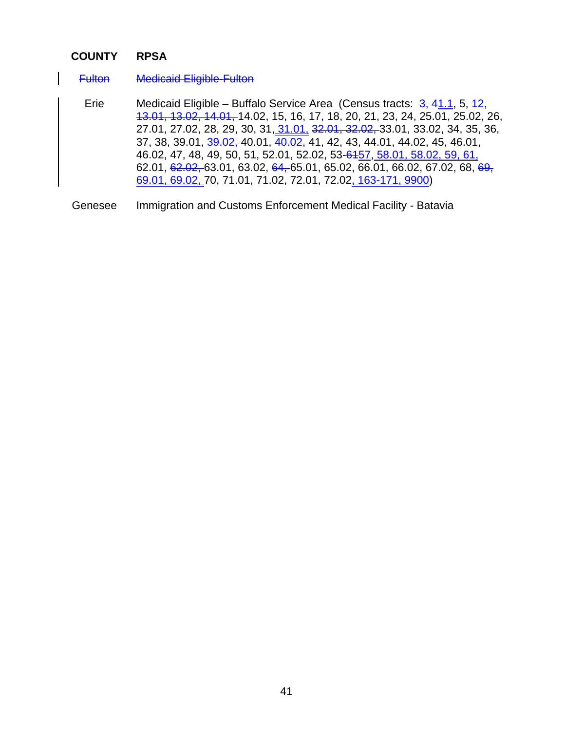#### **COUNTY RPSA**

Fulton Medicaid Eligible-Fulton

Erie Medicaid Eligible – Buffalo Service Area (Census tracts: 3, 41.1, 5, 42, 13.01, 13.02, 14.01, 14.02, 15, 16, 17, 18, 20, 21, 23, 24, 25.01, 25.02, 26, 27.01, 27.02, 28, 29, 30, 31, 31.01, 32.01, 32.02, 33.01, 33.02, 34, 35, 36, 37, 38, 39.01, 39.02, 40.01, 40.02, 41, 42, 43, 44.01, 44.02, 45, 46.01, 46.02, 47, 48, 49, 50, 51, 52.01, 52.02, 53-6457, 58.01, 58.02, 59, 61, 62.01, 62.02, 63.01, 63.02, 64, 65.01, 65.02, 66.01, 66.02, 67.02, 68, 69, 69.01, 69.02, 70, 71.01, 71.02, 72.01, 72.02, 163-171, 9900)

Genesee Immigration and Customs Enforcement Medical Facility - Batavia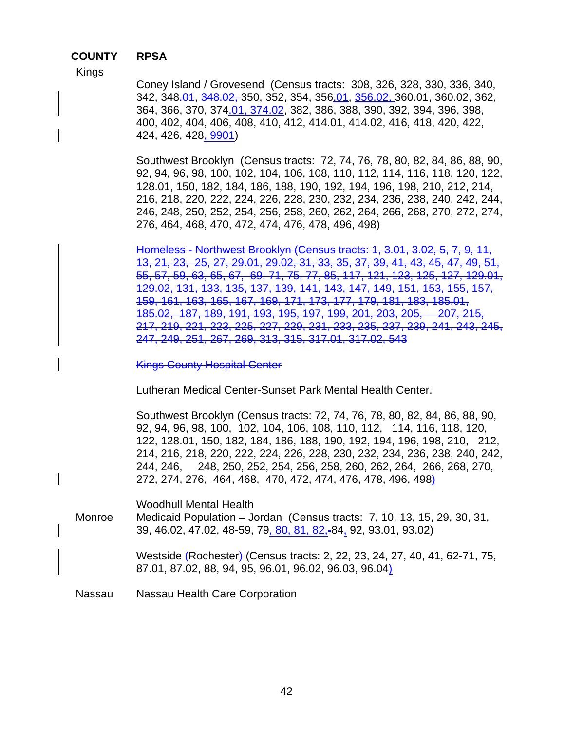#### **COUNTY RPSA**

Kings

Coney Island / Grovesend (Census tracts: 308, 326, 328, 330, 336, 340, 342, 348.04, 348.02, 350, 352, 354, 356.01, 356.02, 360.01, 360.02, 362, 364, 366, 370, 374.01, 374.02, 382, 386, 388, 390, 392, 394, 396, 398, 400, 402, 404, 406, 408, 410, 412, 414.01, 414.02, 416, 418, 420, 422, 424, 426, 428, 9901)

Southwest Brooklyn (Census tracts: 72, 74, 76, 78, 80, 82, 84, 86, 88, 90, 92, 94, 96, 98, 100, 102, 104, 106, 108, 110, 112, 114, 116, 118, 120, 122, 128.01, 150, 182, 184, 186, 188, 190, 192, 194, 196, 198, 210, 212, 214, 216, 218, 220, 222, 224, 226, 228, 230, 232, 234, 236, 238, 240, 242, 244, 246, 248, 250, 252, 254, 256, 258, 260, 262, 264, 266, 268, 270, 272, 274, 276, 464, 468, 470, 472, 474, 476, 478, 496, 498)

Homeless - Northwest Brooklyn (Census tracts: 1, 3.01, 3.02, 5, 7, 9, 13, 21, 23, 25, 27, 29.01, 29.02, 31, 33, 35, 37, 39, 41, 43, 45, 47, 49, 55, 57, 59, 63, 65, 67, 69, 71, 75, 77, 85, 117, 121, 123, 125, 127, 129.01, 129.02, 131, 133, 135, 137, 139, 141, 143, 147, 149, 151, 153, 155, 157, 159, 161, 163, 165, 167, 169, 171, 173, 177, 179, 181, 183, 185.01, 185.02, 187, 189, 191, 193, 195, 197, 199, 201, 203, 205, 207, 215, 217, 219, 221, 223, 225, 227, 229, 231, 233, 235, 237, 239, 241, 243, 245, 247, 249, 251, 267, 269, 313, 315, 317.01, 317.02, 543

Kings County Hospital Center

Lutheran Medical Center-Sunset Park Mental Health Center.

Southwest Brooklyn (Census tracts: 72, 74, 76, 78, 80, 82, 84, 86, 88, 90, 92, 94, 96, 98, 100, 102, 104, 106, 108, 110, 112, 114, 116, 118, 120, 122, 128.01, 150, 182, 184, 186, 188, 190, 192, 194, 196, 198, 210, 212, 214, 216, 218, 220, 222, 224, 226, 228, 230, 232, 234, 236, 238, 240, 242, 244, 246, 248, 250, 252, 254, 256, 258, 260, 262, 264, 266, 268, 270, 272, 274, 276, 464, 468, 470, 472, 474, 476, 478, 496, 498)

Woodhull Mental Health Monroe Medicaid Population – Jordan (Census tracts: 7, 10, 13, 15, 29, 30, 31, 39, 46.02, 47.02, 48-59, 79, 80, 81, 82,-84, 92, 93.01, 93.02)

Westside (Rochester) (Census tracts: 2, 22, 23, 24, 27, 40, 41, 62-71, 75, 87.01, 87.02, 88, 94, 95, 96.01, 96.02, 96.03, 96.04)

Nassau Nassau Health Care Corporation